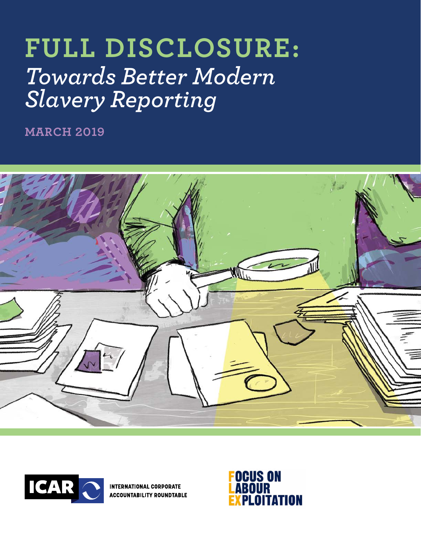# **FULL DISCLOSURE:**  *Towards Better Modern Slavery Reporting*

**MARCH 2019**





**INTERNATIONAL CORPORATE ACCOUNTABILITY ROUNDTABLE** 

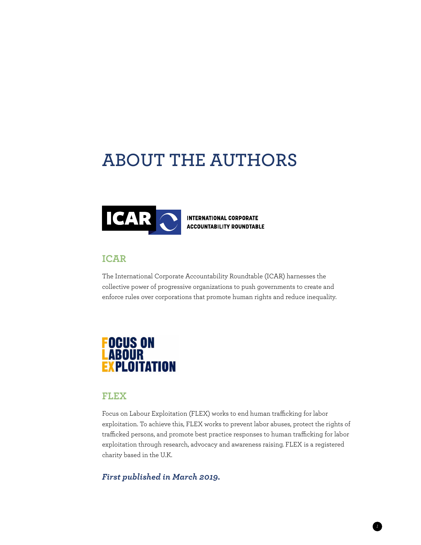## **ABOUT THE AUTHORS**



**INTERNATIONAL CORPORATE ACCOUNTABILITY ROUNDTABLE** 

### **ICAR**

The International Corporate Accountability Roundtable (ICAR) harnesses the collective power of progressive organizations to push governments to create and enforce rules over corporations that promote human rights and reduce inequality.

## **FOCUS ON ABOUR PLOITATION**

### **FLEX**

Focus on Labour Exploitation (FLEX) works to end human trafficking for labor exploitation. To achieve this, FLEX works to prevent labor abuses, protect the rights of trafficked persons, and promote best practice responses to human trafficking for labor exploitation through research, advocacy and awareness raising. FLEX is a registered charity based in the U.K.

*1*

### *First published in March 2019.*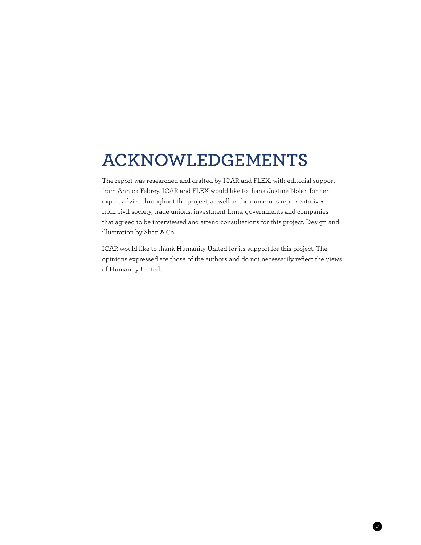## **ACKNOWLEDGEMENTS**

The report was researched and drafted by ICAR and FLEX, with editorial support from Annick Febrey. ICAR and FLEX would like to thank Justine Nolan for her expert advice throughout the project, as well as the numerous representatives from civil society, trade unions, investment firms, governments and companies that agreed to be interviewed and attend consultations for this project. Design and illustration by Shan & Co.

ICAR would like to thank Humanity United for its support for this project. The opinions expressed are those of the authors and do not necessarily reflect the views of Humanity United.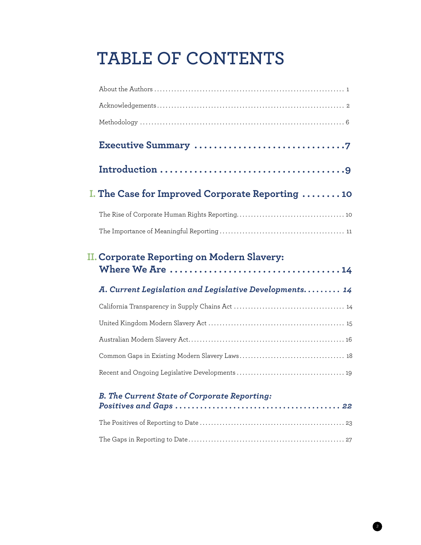## **TABLE OF CONTENTS**

| I. The Case for Improved Corporate Reporting 10                                                                                                                        |
|------------------------------------------------------------------------------------------------------------------------------------------------------------------------|
|                                                                                                                                                                        |
|                                                                                                                                                                        |
|                                                                                                                                                                        |
| II. Corporate Reporting on Modern Slavery:                                                                                                                             |
| A. Current Legislation and Legislative Developments. 14                                                                                                                |
|                                                                                                                                                                        |
|                                                                                                                                                                        |
|                                                                                                                                                                        |
|                                                                                                                                                                        |
|                                                                                                                                                                        |
| <b>B. The Current State of Corporate Reporting:</b><br>Positives and Gaps $\ldots \ldots \ldots \ldots \ldots \ldots \ldots \ldots \ldots \ldots \ldots \ldots \ldots$ |
|                                                                                                                                                                        |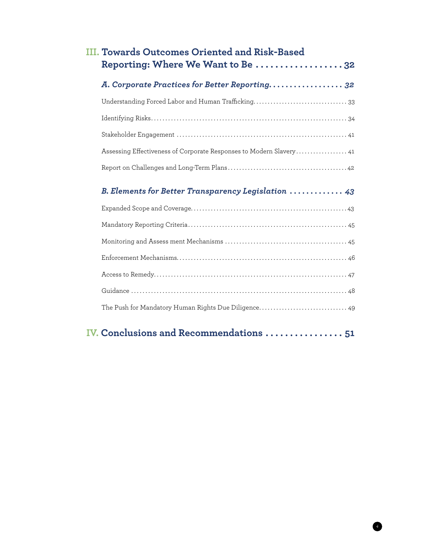| III. Towards Outcomes Oriented and Risk-Based<br>Reporting: Where We Want to Be 32 |
|------------------------------------------------------------------------------------|
| A. Corporate Practices for Better Reporting. 32                                    |
|                                                                                    |
|                                                                                    |
|                                                                                    |
| Assessing Effectiveness of Corporate Responses to Modern Slavery 41                |
|                                                                                    |
| B. Elements for Better Transparency Legislation  43                                |
|                                                                                    |
|                                                                                    |
|                                                                                    |
|                                                                                    |
|                                                                                    |
|                                                                                    |
|                                                                                    |
|                                                                                    |

## **1V.** Conclusions and Recommendations . . . . . . . . . . . . . . . . . 51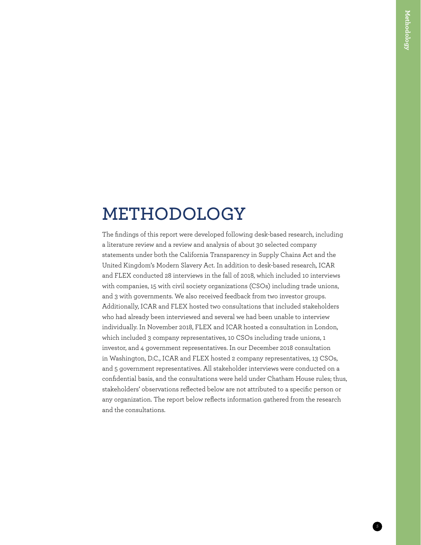## **METHODOLOGY**

The findings of this report were developed following desk-based research, including a literature review and a review and analysis of about 30 selected company statements under both the California Transparency in Supply Chains Act and the United Kingdom's Modern Slavery Act. In addition to desk-based research, ICAR and FLEX conducted 28 interviews in the fall of 2018, which included 10 interviews with companies, 15 with civil society organizations (CSOs) including trade unions, and 3 with governments. We also received feedback from two investor groups. Additionally, ICAR and FLEX hosted two consultations that included stakeholders who had already been interviewed and several we had been unable to interview individually. In November 2018, FLEX and ICAR hosted a consultation in London, which included 3 company representatives, 10 CSOs including trade unions, 1 investor, and 4 government representatives. In our December 2018 consultation in Washington, D.C., ICAR and FLEX hosted 2 company representatives, 13 CSOs, and 5 government representatives. All stakeholder interviews were conducted on a confidential basis, and the consultations were held under Chatham House rules; thus, stakeholders' observations reflected below are not attributed to a specific person or any organization. The report below reflects information gathered from the research and the consultations.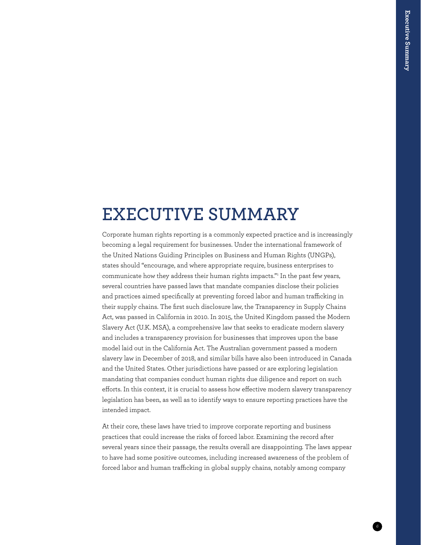## **EXECUTIVE SUMMARY**

Corporate human rights reporting is a commonly expected practice and is increasingly becoming a legal requirement for businesses. Under the international framework of the United Nations Guiding Principles on Business and Human Rights (UNGPs), states should "encourage, and where appropriate require, business enterprises to communicate how they address their human rights impacts."[1](#page--1-0) In the past few years, several countries have passed laws that mandate companies disclose their policies and practices aimed specifically at preventing forced labor and human trafficking in their supply chains. The first such disclosure law, the Transparency in Supply Chains Act, was passed in California in 2010. In 2015, the United Kingdom passed the Modern Slavery Act (U.K. MSA), a comprehensive law that seeks to eradicate modern slavery and includes a transparency provision for businesses that improves upon the base model laid out in the California Act. The Australian government passed a modern slavery law in December of 2018, and similar bills have also been introduced in Canada and the United States. Other jurisdictions have passed or are exploring legislation mandating that companies conduct human rights due diligence and report on such efforts. In this context, it is crucial to assess how effective modern slavery transparency legislation has been, as well as to identify ways to ensure reporting practices have the intended impact.

At their core, these laws have tried to improve corporate reporting and business practices that could increase the risks of forced labor. Examining the record after several years since their passage, the results overall are disappointing. The laws appear to have had some positive outcomes, including increased awareness of the problem of forced labor and human trafficking in global supply chains, notably among company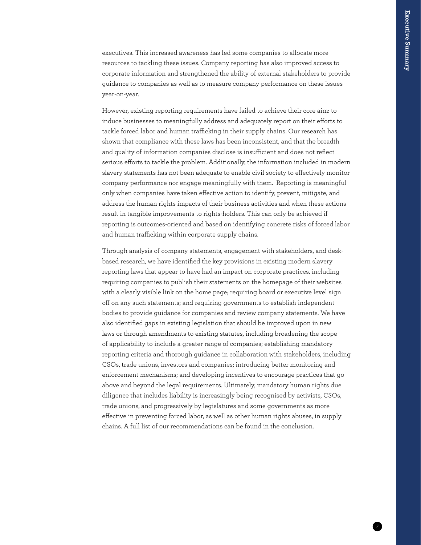executives. This increased awareness has led some companies to allocate more resources to tackling these issues. Company reporting has also improved access to corporate information and strengthened the ability of external stakeholders to provide guidance to companies as well as to measure company performance on these issues year-on-year.

However, existing reporting requirements have failed to achieve their core aim: to induce businesses to meaningfully address and adequately report on their efforts to tackle forced labor and human trafficking in their supply chains. Our research has shown that compliance with these laws has been inconsistent, and that the breadth and quality of information companies disclose is insufficient and does not reflect serious efforts to tackle the problem. Additionally, the information included in modern slavery statements has not been adequate to enable civil society to effectively monitor company performance nor engage meaningfully with them. Reporting is meaningful only when companies have taken effective action to identify, prevent, mitigate, and address the human rights impacts of their business activities and when these actions result in tangible improvements to rights-holders. This can only be achieved if reporting is outcomes-oriented and based on identifying concrete risks of forced labor and human trafficking within corporate supply chains.

Through analysis of company statements, engagement with stakeholders, and deskbased research, we have identified the key provisions in existing modern slavery reporting laws that appear to have had an impact on corporate practices, including requiring companies to publish their statements on the homepage of their websites with a clearly visible link on the home page; requiring board or executive level sign off on any such statements; and requiring governments to establish independent bodies to provide guidance for companies and review company statements. We have also identified gaps in existing legislation that should be improved upon in new laws or through amendments to existing statutes, including broadening the scope of applicability to include a greater range of companies; establishing mandatory reporting criteria and thorough guidance in collaboration with stakeholders, including CSOs, trade unions, investors and companies; introducing better monitoring and enforcement mechanisms; and developing incentives to encourage practices that go above and beyond the legal requirements. Ultimately, mandatory human rights due diligence that includes liability is increasingly being recognised by activists, CSOs, trade unions, and progressively by legislatures and some governments as more effective in preventing forced labor, as well as other human rights abuses, in supply chains. A full list of our recommendations can be found in the conclusion.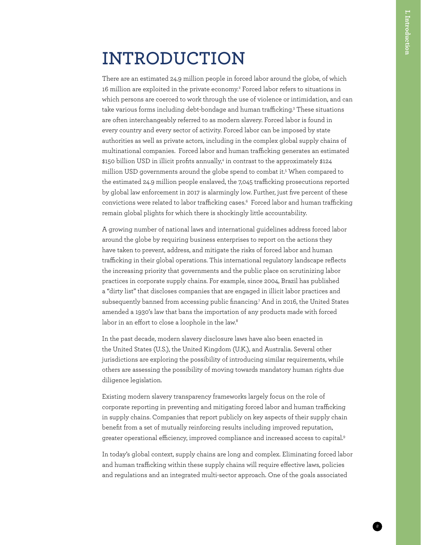## **INTRODUCTION**

There are an estimated 24.9 million people in forced labor around the globe, of which 16 million are exploited in the private economy.<sup>2</sup> Forced labor refers to situations in which persons are coerced to work through the use of violence or intimidation, and can take various forms including debt-bondage and human trafficking.<sup>3</sup> These situations are often interchangeably referred to as modern slavery. Forced labor is found in every country and every sector of activity. Forced labor can be imposed by state authorities as well as private actors, including in the complex global supply chains of multinational companies. Forced labor and human trafficking generates an estimated \$150 billion USD in illicit profits annually,<sup>4</sup> in contrast to the approximately \$124 million USD governments around the globe spend to combat it[.5](#page--1-4) When compared to the estimated 24.9 million people enslaved, the 7,045 trafficking prosecutions reported by global law enforcement in 2017 is alarmingly low. Further, just five percent of these convictions were related to labor trafficking cases.[6](#page--1-5) Forced labor and human trafficking remain global plights for which there is shockingly little accountability.

A growing number of national laws and international guidelines address forced labor around the globe by requiring business enterprises to report on the actions they have taken to prevent, address, and mitigate the risks of forced labor and human trafficking in their global operations. This international regulatory landscape reflects the increasing priority that governments and the public place on scrutinizing labor practices in corporate supply chains. For example, since 2004, Brazil has published a "dirty list" that discloses companies that are engaged in illicit labor practices and subsequently banned from accessing public financing.[7](#page--1-6) And in 2016, the United States amended a 1930's law that bans the importation of any products made with forced labor in an effort to close a loophole in the law.<sup>8</sup>

In the past decade, modern slavery disclosure laws have also been enacted in the United States (U.S.), the United Kingdom (U.K.), and Australia. Several other jurisdictions are exploring the possibility of introducing similar requirements, while others are assessing the possibility of moving towards mandatory human rights due diligence legislation.

Existing modern slavery transparency frameworks largely focus on the role of corporate reporting in preventing and mitigating forced labor and human trafficking in supply chains. Companies that report publicly on key aspects of their supply chain benefit from a set of mutually reinforcing results including improved reputation, greater operational efficiency, improved compliance and increased access to capital[.9](#page--1-8)

In today's global context, supply chains are long and complex. Eliminating forced labor and human trafficking within these supply chains will require effective laws, policies and regulations and an integrated multi-sector approach. One of the goals associated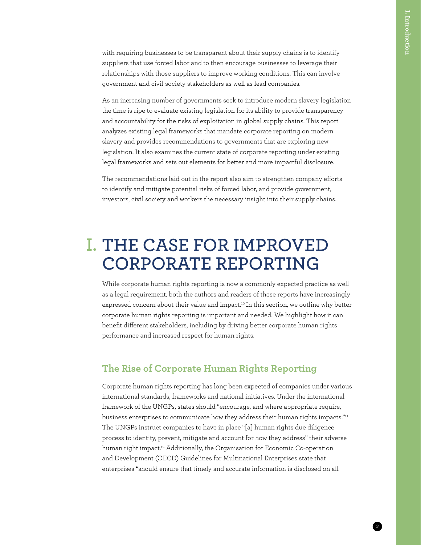with requiring businesses to be transparent about their supply chains is to identify suppliers that use forced labor and to then encourage businesses to leverage their relationships with those suppliers to improve working conditions. This can involve government and civil society stakeholders as well as lead companies.

As an increasing number of governments seek to introduce modern slavery legislation the time is ripe to evaluate existing legislation for its ability to provide transparency and accountability for the risks of exploitation in global supply chains. This report analyzes existing legal frameworks that mandate corporate reporting on modern slavery and provides recommendations to governments that are exploring new legislation. It also examines the current state of corporate reporting under existing legal frameworks and sets out elements for better and more impactful disclosure.

The recommendations laid out in the report also aim to strengthen company efforts to identify and mitigate potential risks of forced labor, and provide government, investors, civil society and workers the necessary insight into their supply chains.

## **THE CASE FOR IMPROVED I.CORPORATE REPORTING**

While corporate human rights reporting is now a commonly expected practice as well as a legal requirement, both the authors and readers of these reports have increasingly expressed concern about their value and impact.<sup>[10](#page--1-9)</sup> In this section, we outline why better corporate human rights reporting is important and needed. We highlight how it can benefit different stakeholders, including by driving better corporate human rights performance and increased respect for human rights.

### **The Rise of Corporate Human Rights Reporting**

Corporate human rights reporting has long been expected of companies under various international standards, frameworks and national initiatives. Under the international framework of the UNGPs, states should "encourage, and where appropriate require, business enterprises to communicate how they address their human rights impacts."<sup>[11](#page--1-10)</sup> The UNGPs instruct companies to have in place "[a] human rights due diligence process to identity, prevent, mitigate and account for how they address" their adverse human right impact.<sup>12</sup> Additionally, the Organisation for Economic Co-operation and Development (OECD) Guidelines for Multinational Enterprises state that enterprises "should ensure that timely and accurate information is disclosed on all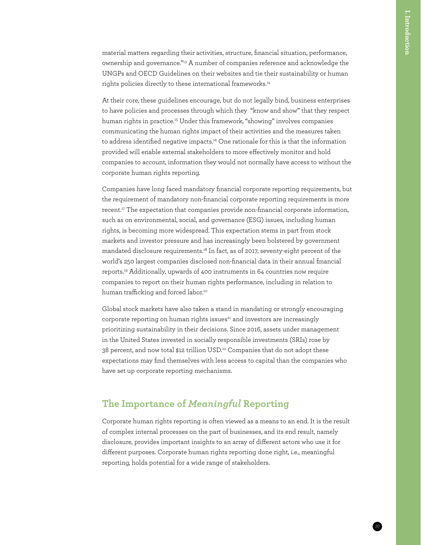material matters regarding their activities, structure, financial situation, performance, ownership and governance."[13](#page--1-12) A number of companies reference and acknowledge the UNGPs and OECD Guidelines on their websites and tie their sustainability or human rights policies directly to these international frameworks.<sup>14</sup>

At their core, these guidelines encourage, but do not legally bind, business enterprises to have policies and processes through which they "know and show" that they respect human rights in practice.<sup>15</sup> Under this framework, "showing" involves companies communicating the human rights impact of their activities and the measures taken to address identified negative impacts[.16](#page--1-15) One rationale for this is that the information provided will enable external stakeholders to more effectively monitor and hold companies to account, information they would not normally have access to without the corporate human rights reporting.

Companies have long faced mandatory financial corporate reporting requirements, but the requirement of mandatory non-financial corporate reporting requirements is more recent.<sup>[17](#page--1-16)</sup> The expectation that companies provide non-financial corporate information, such as on environmental, social, and governance (ESG) issues, including human rights, is becoming more widespread. This expectation stems in part from stock markets and investor pressure and has increasingly been bolstered by government mandated disclosure requirements.[18](#page--1-17) In fact, as of 2017, seventy-eight percent of the world's 250 largest companies disclosed non-financial data in their annual financial reports[.19](#page--1-18) Additionally, upwards of 400 instruments in 64 countries now require companies to report on their human rights performance, including in relation to human trafficking and forced labor.<sup>20</sup>

Global stock markets have also taken a stand in mandating or strongly encouraging corporate reporting on human rights issues<sup>[21](#page--1-20)</sup> and investors are increasingly prioritizing sustainability in their decisions. Since 2016, assets under management in the United States invested in socially responsible investments (SRIs) rose by 38 percent, and now total \$12 trillion USD.<sup>22</sup> Companies that do not adopt these expectations may find themselves with less access to capital than the companies who have set up corporate reporting mechanisms.

### **The Importance of** *Meaningful* **Reporting**

Corporate human rights reporting is often viewed as a means to an end. It is the result of complex internal processes on the part of businesses, and its end result, namely disclosure, provides important insights to an array of different actors who use it for different purposes. Corporate human rights reporting done right, i.e., meaningful reporting, holds potential for a wide range of stakeholders.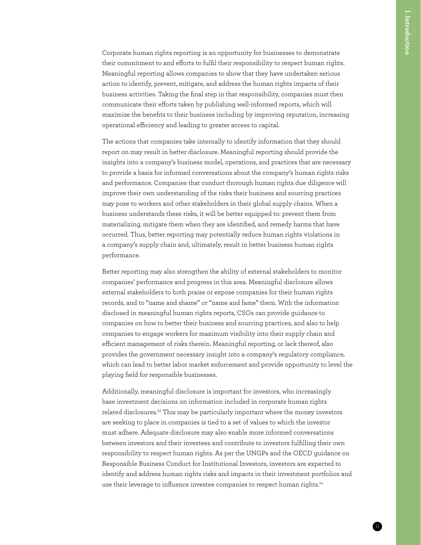Corporate human rights reporting is an opportunity for businesses to demonstrate their commitment to and efforts to fulfil their responsibility to respect human rights. Meaningful reporting allows companies to show that they have undertaken serious action to identify, prevent, mitigate, and address the human rights impacts of their business activities. Taking the final step in that responsibility, companies must then communicate their efforts taken by publishing well-informed reports, which will maximize the benefits to their business including by improving reputation, increasing operational efficiency and leading to greater access to capital.

The actions that companies take internally to identify information that they should report on may result in better disclosure. Meaningful reporting should provide the insights into a company's business model, operations, and practices that are necessary to provide a basis for informed conversations about the company's human rights risks and performance. Companies that conduct thorough human rights due diligence will improve their own understanding of the risks their business and sourcing practices may pose to workers and other stakeholders in their global supply chains. When a business understands these risks, it will be better equipped to: prevent them from materializing, mitigate them when they are identified, and remedy harms that have occurred. Thus, better reporting may potentially reduce human rights violations in a company's supply chain and, ultimately, result in better business human rights performance.

Better reporting may also strengthen the ability of external stakeholders to monitor companies' performance and progress in this area. Meaningful disclosure allows external stakeholders to both praise or expose companies for their human rights records, and to "name and shame" or "name and fame" them. With the information disclosed in meaningful human rights reports, CSOs can provide guidance to companies on how to better their business and sourcing practices, and also to help companies to engage workers for maximum visibility into their supply chain and efficient management of risks therein. Meaningful reporting, or lack thereof, also provides the government necessary insight into a company's regulatory compliance, which can lead to better labor market enforcement and provide opportunity to level the playing field for responsible businesses.

Additionally, meaningful disclosure is important for investors, who increasingly base investment decisions on information included in corporate human rights related disclosures.[23](#page--1-22) This may be particularly important where the money investors are seeking to place in companies is tied to a set of values to which the investor must adhere. Adequate disclosure may also enable more informed conversations between investors and their investees and contribute to investors fulfilling their own responsibility to respect human rights. As per the UNGPs and the OECD guidance on Responsible Business Conduct for Institutional Investors, investors are expected to identify and address human rights risks and impacts in their investment portfolios and use their leverage to influence investee companies to respect human rights.<sup>[24](#page--1-11)</sup>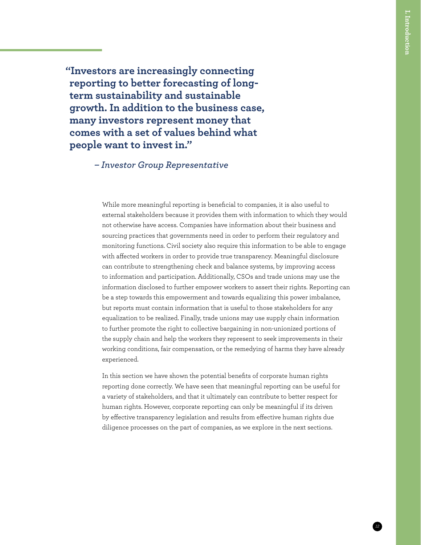**"Investors are increasingly connecting reporting to better forecasting of longterm sustainability and sustainable growth. In addition to the business case, many investors represent money that comes with a set of values behind what people want to invest in."**

*– Investor Group Representative*

While more meaningful reporting is beneficial to companies, it is also useful to external stakeholders because it provides them with information to which they would not otherwise have access. Companies have information about their business and sourcing practices that governments need in order to perform their regulatory and monitoring functions. Civil society also require this information to be able to engage with affected workers in order to provide true transparency. Meaningful disclosure can contribute to strengthening check and balance systems, by improving access to information and participation. Additionally, CSOs and trade unions may use the information disclosed to further empower workers to assert their rights. Reporting can be a step towards this empowerment and towards equalizing this power imbalance, but reports must contain information that is useful to those stakeholders for any equalization to be realized. Finally, trade unions may use supply chain information to further promote the right to collective bargaining in non-unionized portions of the supply chain and help the workers they represent to seek improvements in their working conditions, fair compensation, or the remedying of harms they have already experienced.

In this section we have shown the potential benefits of corporate human rights reporting done correctly. We have seen that meaningful reporting can be useful for a variety of stakeholders, and that it ultimately can contribute to better respect for human rights. However, corporate reporting can only be meaningful if its driven by effective transparency legislation and results from effective human rights due diligence processes on the part of companies, as we explore in the next sections.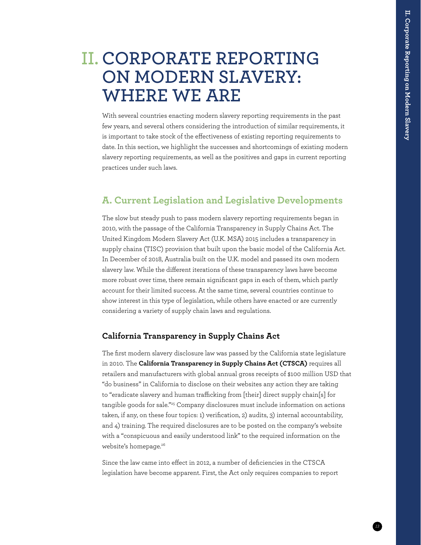## **CORPORATE REPORTING II. ON MODERN SLAVERY: WHERE WE ARE**

With several countries enacting modern slavery reporting requirements in the past few years, and several others considering the introduction of similar requirements, it is important to take stock of the effectiveness of existing reporting requirements to date. In this section, we highlight the successes and shortcomings of existing modern slavery reporting requirements, as well as the positives and gaps in current reporting practices under such laws.

### **A. Current Legislation and Legislative Developments**

The slow but steady push to pass modern slavery reporting requirements began in 2010, with the passage of the California Transparency in Supply Chains Act. The United Kingdom Modern Slavery Act (U.K. MSA) 2015 includes a transparency in supply chains (TISC) provision that built upon the basic model of the California Act. In December of 2018, Australia built on the U.K. model and passed its own modern slavery law. While the different iterations of these transparency laws have become more robust over time, there remain significant gaps in each of them, which partly account for their limited success. At the same time, several countries continue to show interest in this type of legislation, while others have enacted or are currently considering a variety of supply chain laws and regulations.

#### **California Transparency in Supply Chains Act**

The first modern slavery disclosure law was passed by the California state legislature in 2010. The **California Transparency in Supply Chains Act (CTSCA)** requires all retailers and manufacturers with global annual gross receipts of \$100 million USD that "do business" in California to disclose on their websites any action they are taking to "eradicate slavery and human trafficking from [their] direct supply chain[s] for tangible goods for sale."[25](#page--1-23) Company disclosures must include information on actions taken, if any, on these four topics: 1) verification, 2) audits, 3) internal accountability, and 4) training. The required disclosures are to be posted on the company's website with a "conspicuous and easily understood link" to the required information on the website's homepage.<sup>[26](#page--1-24)</sup>

Since the law came into effect in 2012, a number of deficiencies in the CTSCA legislation have become apparent. First, the Act only requires companies to report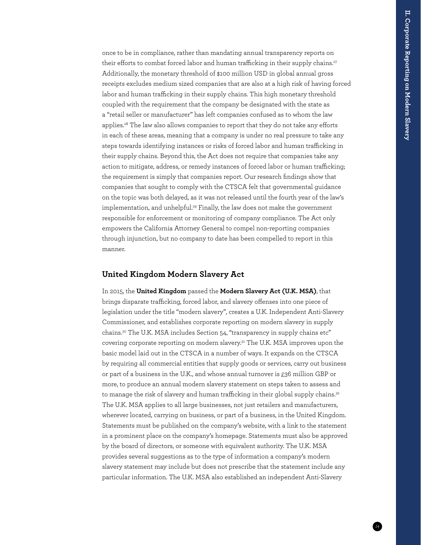once to be in compliance, rather than mandating annual transparency reports on their efforts to combat forced labor and human trafficking in their supply chains.<sup>[27](#page--1-25)</sup> Additionally, the monetary threshold of \$100 million USD in global annual gross receipts excludes medium sized companies that are also at a high risk of having forced labor and human trafficking in their supply chains. This high monetary threshold coupled with the requirement that the company be designated with the state as a "retail seller or manufacturer" has left companies confused as to whom the law applies.<sup>[28](#page--1-26)</sup> The law also allows companies to report that they do not take any efforts in each of these areas, meaning that a company is under no real pressure to take any steps towards identifying instances or risks of forced labor and human trafficking in their supply chains. Beyond this, the Act does not require that companies take any action to mitigate, address, or remedy instances of forced labor or human trafficking; the requirement is simply that companies report. Our research findings show that companies that sought to comply with the CTSCA felt that governmental guidance on the topic was both delayed, as it was not released until the fourth year of the law's implementation, and unhelpful.<sup>29</sup> Finally, the law does not make the government responsible for enforcement or monitoring of company compliance. The Act only empowers the California Attorney General to compel non-reporting companies through injunction, but no company to date has been compelled to report in this manner.

#### **United Kingdom Modern Slavery Act**

In 2015, the **United Kingdom** passed the **Modern Slavery Act (U.K. MSA)**, that brings disparate trafficking, forced labor, and slavery offenses into one piece of legislation under the title "modern slavery", creates a U.K. Independent Anti-Slavery Commissioner, and establishes corporate reporting on modern slavery in supply chains.<sup>30</sup> The U.K. MSA includes Section 54, "transparency in supply chains etc" covering corporate reporting on modern slavery[.31](#page--1-28) The U.K. MSA improves upon the basic model laid out in the CTSCA in a number of ways. It expands on the CTSCA by requiring all commercial entities that supply goods or services, carry out business or part of a business in the U.K., and whose annual turnover is £36 million GBP or more, to produce an annual modern slavery statement on steps taken to assess and to manage the risk of slavery and human trafficking in their global supply chains.<sup>32</sup> The U.K. MSA applies to all large businesses, not just retailers and manufacturers, wherever located, carrying on business, or part of a business, in the United Kingdom. Statements must be published on the company's website, with a link to the statement in a prominent place on the company's homepage. Statements must also be approved by the board of directors, or someone with equivalent authority. The U.K. MSA provides several suggestions as to the type of information a company's modern slavery statement may include but does not prescribe that the statement include any particular information. The U.K. MSA also established an independent Anti-Slavery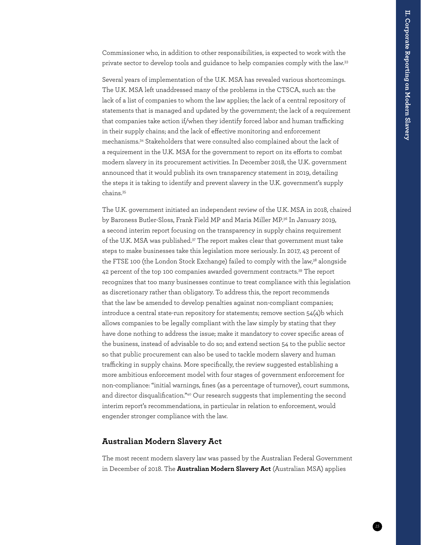Commissioner who, in addition to other responsibilities, is expected to work with the private sector to develop tools and guidance to help companies comply with the law.[33](#page--1-15)

Several years of implementation of the U.K. MSA has revealed various shortcomings. The U.K. MSA left unaddressed many of the problems in the CTSCA, such as: the lack of a list of companies to whom the law applies; the lack of a central repository of statements that is managed and updated by the government; the lack of a requirement that companies take action if/when they identify forced labor and human trafficking in their supply chains; and the lack of effective monitoring and enforcement mechanisms[.34](#page--1-16) Stakeholders that were consulted also complained about the lack of a requirement in the U.K. MSA for the government to report on its efforts to combat modern slavery in its procurement activities. In December 2018, the U.K. government announced that it would publish its own transparency statement in 2019, detailing the steps it is taking to identify and prevent slavery in the U.K. government's supply chains.[35](#page--1-30)

The U.K. government initiated an independent review of the U.K. MSA in 2018, chaired by Baroness Butler-Sloss, Frank Field MP and Maria Miller MP[.36](#page--1-31) In January 2019, a second interim report focusing on the transparency in supply chains requirement of the U.K. MSA was published.<sup>37</sup> The report makes clear that government must take steps to make businesses take this legislation more seriously. In 2017, 43 percent of the FTSE 100 (the London Stock Exchange) failed to comply with the law,<sup>38</sup> alongside 42 percent of the top 100 companies awarded government contracts.<sup>39</sup> The report recognizes that too many businesses continue to treat compliance with this legislation as discretionary rather than obligatory. To address this, the report recommends that the law be amended to develop penalties against non-compliant companies; introduce a central state-run repository for statements; remove section 54(4)b which allows companies to be legally compliant with the law simply by stating that they have done nothing to address the issue; make it mandatory to cover specific areas of the business, instead of advisable to do so; and extend section 54 to the public sector so that public procurement can also be used to tackle modern slavery and human trafficking in supply chains. More specifically, the review suggested establishing a more ambitious enforcement model with four stages of government enforcement for non-compliance: "initial warnings, fines (as a percentage of turnover), court summons, and director disqualification.["40](#page--1-24) Our research suggests that implementing the second interim report's recommendations, in particular in relation to enforcement, would engender stronger compliance with the law.

#### **Australian Modern Slavery Act**

The most recent modern slavery law was passed by the Australian Federal Government in December of 2018. The **Australian Modern Slavery Act** (Australian MSA) applies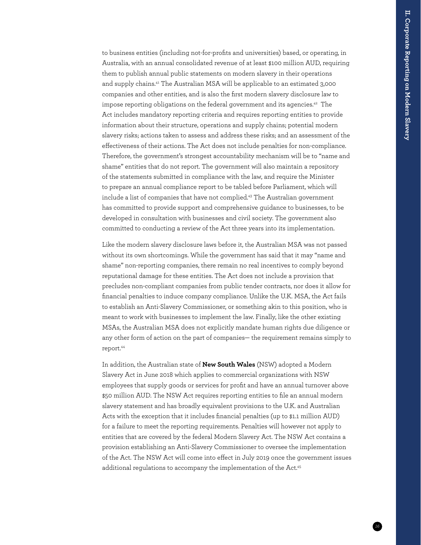to business entities (including not-for-profits and universities) based, or operating, in Australia, with an annual consolidated revenue of at least \$100 million AUD, requiring them to publish annual public statements on modern slavery in their operations and supply chains.[41](#page--1-26) The Australian MSA will be applicable to an estimated 3,000 companies and other entities, and is also the first modern slavery disclosure law to impose reporting obligations on the federal government and its agencies.<sup>42</sup> The Act includes mandatory reporting criteria and requires reporting entities to provide information about their structure, operations and supply chains; potential modern slavery risks; actions taken to assess and address these risks; and an assessment of the effectiveness of their actions. The Act does not include penalties for non-compliance. Therefore, the government's strongest accountability mechanism will be to "name and shame" entities that do not report. The government will also maintain a repository of the statements submitted in compliance with the law, and require the Minister to prepare an annual compliance report to be tabled before Parliament, which will include a list of companies that have not complied.<sup>43</sup> The Australian government has committed to provide support and comprehensive guidance to businesses, to be developed in consultation with businesses and civil society. The government also committed to conducting a review of the Act three years into its implementation.

Like the modern slavery disclosure laws before it, the Australian MSA was not passed without its own shortcomings. While the government has said that it may "name and shame" non-reporting companies, there remain no real incentives to comply beyond reputational damage for these entities. The Act does not include a provision that precludes non-compliant companies from public tender contracts, nor does it allow for financial penalties to induce company compliance. Unlike the U.K. MSA, the Act fails to establish an Anti-Slavery Commissioner, or something akin to this position, who is meant to work with businesses to implement the law. Finally, like the other existing MSAs, the Australian MSA does not explicitly mandate human rights due diligence or any other form of action on the part of companies— the requirement remains simply to report.<sup>44</sup>

In addition, the Australian state of **New South Wales** (NSW) adopted a Modern Slavery Act in June 2018 which applies to commercial organizations with NSW employees that supply goods or services for profit and have an annual turnover above \$50 million AUD. The NSW Act requires reporting entities to file an annual modern slavery statement and has broadly equivalent provisions to the U.K. and Australian Acts with the exception that it includes financial penalties (up to \$1.1 million AUD) for a failure to meet the reporting requirements. Penalties will however not apply to entities that are covered by the federal Modern Slavery Act. The NSW Act contains a provision establishing an Anti-Slavery Commissioner to oversee the implementation of the Act. The NSW Act will come into effect in July 2019 once the government issues additional regulations to accompany the implementation of the Act.<sup>[45](#page--1-29)</sup>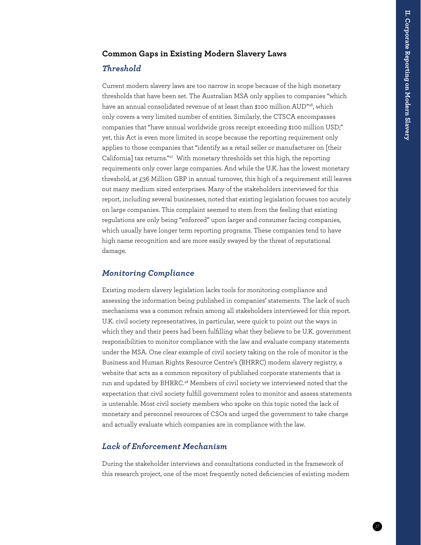#### **Common Gaps in Existing Modern Slavery Laws**

#### *Threshold*

Current modern slavery laws are too narrow in scope because of the high monetary thresholds that have been set. The Australian MSA only applies to companies "which have an annual consolidated revenue of at least than \$100 million AUD["46](#page--1-35), which only covers a very limited number of entities. Similarly, the CTSCA encompasses companies that "have annual worldwide gross receipt exceeding \$100 million USD;" yet, this Act is even more limited in scope because the reporting requirement only applies to those companies that "identify as a retail seller or manufacturer on [their California] tax returns."[47](#page--1-17) With monetary thresholds set this high, the reporting requirements only cover large companies. And while the U.K. has the lowest monetary threshold, at £36 Million GBP in annual turnover, this high of a requirement still leaves out many medium sized enterprises. Many of the stakeholders interviewed for this report, including several businesses, noted that existing legislation focuses too acutely on large companies. This complaint seemed to stem from the feeling that existing regulations are only being "enforced" upon larger and consumer facing companies, which usually have longer term reporting programs. These companies tend to have high name recognition and are more easily swayed by the threat of reputational damage.

#### *Monitoring Compliance*

Existing modern slavery legislation lacks tools for monitoring compliance and assessing the information being published in companies' statements. The lack of such mechanisms was a common refrain among all stakeholders interviewed for this report. U.K. civil society representatives, in particular, were quick to point out the ways in which they and their peers had been fulfilling what they believe to be U.K. government responsibilities to monitor compliance with the law and evaluate company statements under the MSA. One clear example of civil society taking on the role of monitor is the Business and Human Rights Resource Centre's (BHRRC) modern slavery registry, a website that acts as a common repository of published corporate statements that is run and updated by BHRRC.<sup>48</sup> Members of civil society we interviewed noted that the expectation that civil society fulfill government roles to monitor and assess statements is untenable. Most civil society members who spoke on this topic noted the lack of monetary and personnel resources of CSOs and urged the government to take charge and actually evaluate which companies are in compliance with the law.

#### *Lack of Enforcement Mechanism*

During the stakeholder interviews and consultations conducted in the framework of this research project, one of the most frequently noted deficiencies of existing modern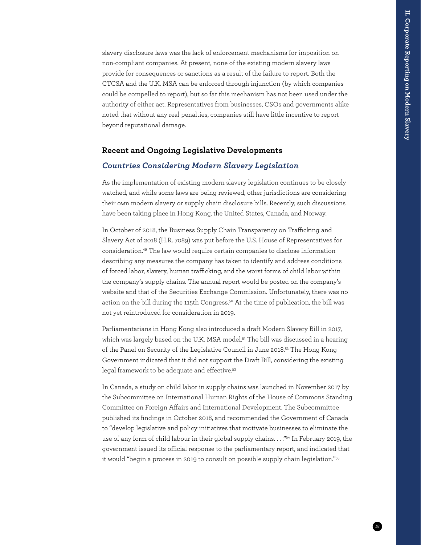slavery disclosure laws was the lack of enforcement mechanisms for imposition on non-compliant companies. At present, none of the existing modern slavery laws provide for consequences or sanctions as a result of the failure to report. Both the CTCSA and the U.K. MSA can be enforced through injunction (by which companies could be compelled to report), but so far this mechanism has not been used under the authority of either act. Representatives from businesses, CSOs and governments alike noted that without any real penalties, companies still have little incentive to report beyond reputational damage.

#### **Recent and Ongoing Legislative Developments**

#### *Countries Considering Modern Slavery Legislation*

As the implementation of existing modern slavery legislation continues to be closely watched, and while some laws are being reviewed, other jurisdictions are considering their own modern slavery or supply chain disclosure bills. Recently, such discussions have been taking place in Hong Kong, the United States, Canada, and Norway.

In October of 2018, the Business Supply Chain Transparency on Trafficking and Slavery Act of 2018 (H.R. 7089) was put before the U.S. House of Representatives for consideration[.49](#page--1-30) The law would require certain companies to disclose information describing any measures the company has taken to identify and address conditions of forced labor, slavery, human trafficking, and the worst forms of child labor within the company's supply chains. The annual report would be posted on the company's website and that of the Securities Exchange Commission. Unfortunately, there was no action on the bill during the 115th Congress.<sup>50</sup> At the time of publication, the bill was not yet reintroduced for consideration in 2019.

Parliamentarians in Hong Kong also introduced a draft Modern Slavery Bill in 2017, which was largely based on the U.K. MSA model.<sup>51</sup> The bill was discussed in a hearing of the Panel on Security of the Legislative Council in June 2018.<sup>52</sup> The Hong Kong Government indicated that it did not support the Draft Bill, considering the existing legal framework to be adequate and effective.<sup>[53](#page--1-39)</sup>

In Canada, a study on child labor in supply chains was launched in November 2017 by the Subcommittee on International Human Rights of the House of Commons Standing Committee on Foreign Affairs and International Development. The Subcommittee published its findings in October 2018, and recommended the Government of Canada to "develop legislative and policy initiatives that motivate businesses to eliminate the use of any form of child labour in their global supply chains. . . . "<sup>54</sup> In February 2019, the government issued its official response to the parliamentary report, and indicated that it would "begin a process in 2019 to consult on possible supply chain legislation.["55](#page--1-12)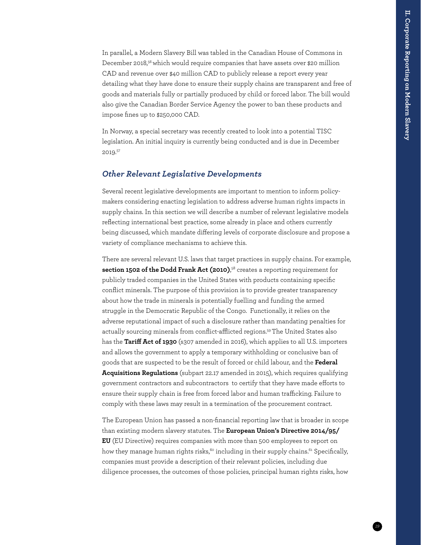In parallel, a Modern Slavery Bill was tabled in the Canadian House of Commons in December 2018,<sup>56</sup> which would require companies that have assets over \$20 million CAD and revenue over \$40 million CAD to publicly release a report every year detailing what they have done to ensure their supply chains are transparent and free of goods and materials fully or partially produced by child or forced labor. The bill would also give the Canadian Border Service Agency the power to ban these products and impose fines up to \$250,000 CAD.

In Norway, a special secretary was recently created to look into a potential TISC legislation. An initial inquiry is currently being conducted and is due in December 2019.[57](#page--1-33)

#### *Other Relevant Legislative Developments*

Several recent legislative developments are important to mention to inform policymakers considering enacting legislation to address adverse human rights impacts in supply chains. In this section we will describe a number of relevant legislative models reflecting international best practice, some already in place and others currently being discussed, which mandate differing levels of corporate disclosure and propose a variety of compliance mechanisms to achieve this.

There are several relevant U.S. laws that target practices in supply chains. For example, **section 1502 of the Dodd Frank Act (2010)**, [58](#page--1-14) creates a reporting requirement for publicly traded companies in the United States with products containing specific conflict minerals. The purpose of this provision is to provide greater transparency about how the trade in minerals is potentially fuelling and funding the armed struggle in the Democratic Republic of the Congo. Functionally, it relies on the adverse reputational impact of such a disclosure rather than mandating penalties for actually sourcing minerals from conflict-afflicted regions[.59](#page--1-28) The United States also has the **Tariff Act of 1930** (s307 amended in 2016), which applies to all U.S. importers and allows the government to apply a temporary withholding or conclusive ban of goods that are suspected to be the result of forced or child labour, and the **Federal Acquisitions Regulations** (subpart 22.17 amended in 2015), which requires qualifying government contractors and subcontractors to certify that they have made efforts to ensure their supply chain is free from forced labor and human trafficking. Failure to comply with these laws may result in a termination of the procurement contract.

The European Union has passed a non-financial reporting law that is broader in scope than existing modern slavery statutes. The **European Union's Directive 2014/95/ EU** (EU Directive) requires companies with more than 500 employees to report on how they manage human rights risks,<sup>60</sup> including in their supply chains.<sup>61</sup> Specifically, companies must provide a description of their relevant policies, including due diligence processes, the outcomes of those policies, principal human rights risks, how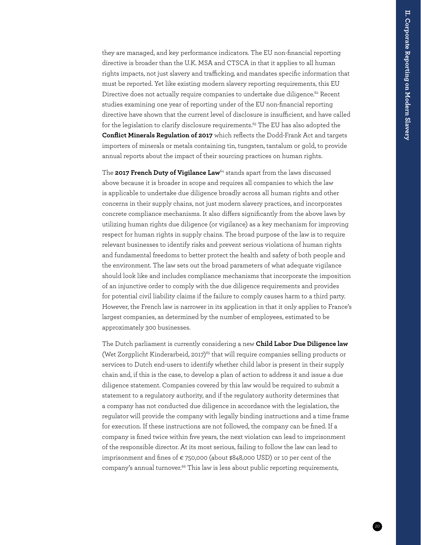they are managed, and key performance indicators. The EU non-financial reporting directive is broader than the U.K. MSA and CTSCA in that it applies to all human rights impacts, not just slavery and trafficking, and mandates specific information that must be reported. Yet like existing modern slavery reporting requirements, this EU Directive does not actually require companies to undertake due diligence.<sup>62</sup> Recent studies examining one year of reporting under of the EU non-financial reporting directive have shown that the current level of disclosure is insufficient, and have called for the legislation to clarify disclosure requirements.<sup>63</sup> The EU has also adopted the **Conflict Minerals Regulation of 2017** which reflects the Dodd-Frank Act and targets importers of minerals or metals containing tin, tungsten, tantalum or gold, to provide annual reports about the impact of their sourcing practices on human rights.

The **2017 French Duty of Vigilance Law**[64](#page--1-24) stands apart from the laws discussed above because it is broader in scope and requires all companies to which the law is applicable to undertake due diligence broadly across all human rights and other concerns in their supply chains, not just modern slavery practices, and incorporates concrete compliance mechanisms. It also differs significantly from the above laws by utilizing human rights due diligence (or vigilance) as a key mechanism for improving respect for human rights in supply chains. The broad purpose of the law is to require relevant businesses to identify risks and prevent serious violations of human rights and fundamental freedoms to better protect the health and safety of both people and the environment. The law sets out the broad parameters of what adequate vigilance should look like and includes compliance mechanisms that incorporate the imposition of an injunctive order to comply with the due diligence requirements and provides for potential civil liability claims if the failure to comply causes harm to a third party. However, the French law is narrower in its application in that it only applies to France's largest companies, as determined by the number of employees, estimated to be approximately 300 businesses.

The Dutch parliament is currently considering a new **Child Labor Due Diligence law** (Wet Zorgplicht Kinderarbeid, 2017)<sup>[65](#page--1-42)</sup> that will require companies selling products or services to Dutch end-users to identify whether child labor is present in their supply chain and, if this is the case, to develop a plan of action to address it and issue a due diligence statement. Companies covered by this law would be required to submit a statement to a regulatory authority, and if the regulatory authority determines that a company has not conducted due diligence in accordance with the legislation, the regulator will provide the company with legally binding instructions and a time frame for execution. If these instructions are not followed, the company can be fined. If a company is fined twice within five years, the next violation can lead to imprisonment of the responsible director. At its most serious, failing to follow the law can lead to imprisonment and fines of € 750,000 (about \$848,000 USD) or 10 per cent of the company's annual turnover.<sup>66</sup> This law is less about public reporting requirements,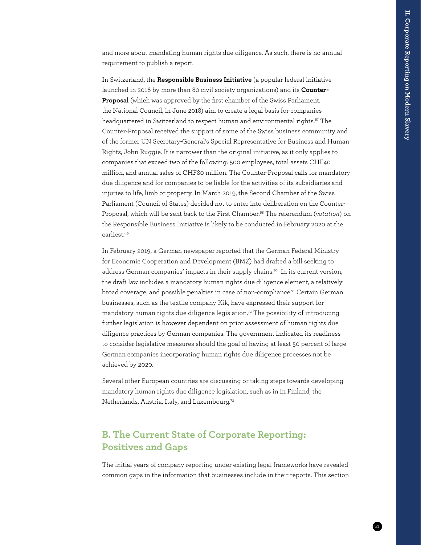and more about mandating human rights due diligence. As such, there is no annual requirement to publish a report.

In Switzerland, the **Responsible Business Initiative** (a popular federal initiative launched in 2016 by more than 80 civil society organizations) and its **Counter-Proposal** (which was approved by the first chamber of the Swiss Parliament, the National Council, in June 2018) aim to create a legal basis for companies headquartered in Switzerland to respect human and environmental rights.<sup>67</sup> The Counter-Proposal received the support of some of the Swiss business community and of the former UN Secretary-General's Special Representative for Business and Human Rights, John Ruggie. It is narrower than the original initiative, as it only applies to companies that exceed two of the following: 500 employees, total assets CHF40 million, and annual sales of CHF80 million. The Counter-Proposal calls for mandatory due diligence and for companies to be liable for the activities of its subsidiaries and injuries to life, limb or property. In March 2019, the Second Chamber of the Swiss Parliament (Council of States) decided not to enter into deliberation on the Counter-Proposal, which will be sent back to the First Chamber.[68](#page--1-14) The referendum (*votation*) on the Responsible Business Initiative is likely to be conducted in February 2020 at the earliest.<sup>69</sup>

In February 2019, a German newspaper reported that the German Federal Ministry for Economic Cooperation and Development (BMZ) had drafted a bill seeking to address German companies' impacts in their supply chains.<sup>70</sup> In its current version, the draft law includes a mandatory human rights due diligence element, a relatively broad coverage, and possible penalties in case of non-compliance[.71](#page--1-36) Certain German businesses, such as the textile company Kik, have expressed their support for mandatory human rights due diligence legislation.[72](#page--1-41) The possibility of introducing further legislation is however dependent on prior assessment of human rights due diligence practices by German companies. The government indicated its readiness to consider legislative measures should the goal of having at least 50 percent of large German companies incorporating human rights due diligence processes not be achieved by 2020.

Several other European countries are discussing or taking steps towards developing mandatory human rights due diligence legislation, such as in in Finland, the Netherlands, Austria, Italy, and Luxembourg[.73](#page--1-38)

### **B. The Current State of Corporate Reporting: Positives and Gaps**

The initial years of company reporting under existing legal frameworks have revealed common gaps in the information that businesses include in their reports. This section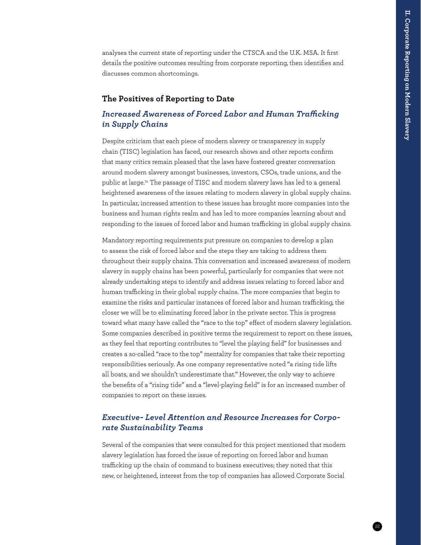analyses the current state of reporting under the CTSCA and the U.K. MSA. It first details the positive outcomes resulting from corporate reporting, then identifies and discusses common shortcomings.

#### **The Positives of Reporting to Date**

#### *Increased Awareness of Forced Labor and Human Trafficking in Supply Chains*

Despite criticism that each piece of modern slavery or transparency in supply chain (TISC) legislation has faced, our research shows and other reports confirm that many critics remain pleased that the laws have fostered greater conversation around modern slavery amongst businesses, investors, CSOs, trade unions, and the public at large[.74](#page--1-22) The passage of TISC and modern slavery laws has led to a general heightened awareness of the issues relating to modern slavery in global supply chains. In particular, increased attention to these issues has brought more companies into the business and human rights realm and has led to more companies learning about and responding to the issues of forced labor and human trafficking in global supply chains.

Mandatory reporting requirements put pressure on companies to develop a plan to assess the risk of forced labor and the steps they are taking to address them throughout their supply chains. This conversation and increased awareness of modern slavery in supply chains has been powerful, particularly for companies that were not already undertaking steps to identify and address issues relating to forced labor and human trafficking in their global supply chains. The more companies that begin to examine the risks and particular instances of forced labor and human trafficking, the closer we will be to eliminating forced labor in the private sector. This is progress toward what many have called the "race to the top" effect of modern slavery legislation. Some companies described in positive terms the requirement to report on these issues, as they feel that reporting contributes to "level the playing field" for businesses and creates a so-called "race to the top" mentality for companies that take their reporting responsibilities seriously. As one company representative noted "a rising tide lifts all boats, and we shouldn't underestimate that." However, the only way to achieve the benefits of a "rising tide" and a "level-playing field" is for an increased number of companies to report on these issues.

#### *Executive- Level Attention and Resource Increases for Corporate Sustainability Teams*

Several of the companies that were consulted for this project mentioned that modern slavery legislation has forced the issue of reporting on forced labor and human trafficking up the chain of command to business executives; they noted that this new, or heightened, interest from the top of companies has allowed Corporate Social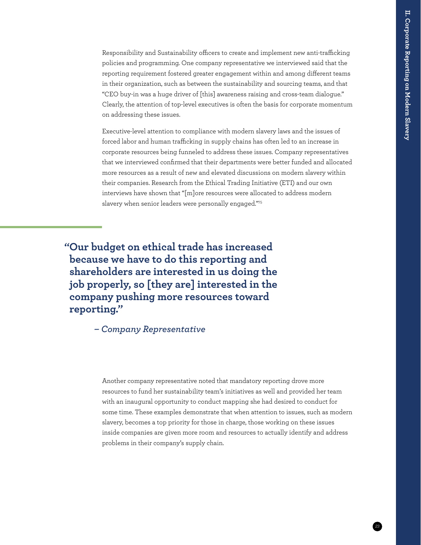Responsibility and Sustainability officers to create and implement new anti-trafficking policies and programming. One company representative we interviewed said that the reporting requirement fostered greater engagement within and among different teams in their organization, such as between the sustainability and sourcing teams, and that "CEO buy-in was a huge driver of [this] awareness raising and cross-team dialogue." Clearly, the attention of top-level executives is often the basis for corporate momentum on addressing these issues.

Executive-level attention to compliance with modern slavery laws and the issues of forced labor and human trafficking in supply chains has often led to an increase in corporate resources being funneled to address these issues. Company representatives that we interviewed confirmed that their departments were better funded and allocated more resources as a result of new and elevated discussions on modern slavery within their companies. Research from the Ethical Trading Initiative (ETI) and our own interviews have shown that "[m]ore resources were allocated to address modern slavery when senior leaders were personally engaged.["75](#page--1-44)

 **"Our budget on ethical trade has increased because we have to do this reporting and shareholders are interested in us doing the job properly, so [they are] interested in the company pushing more resources toward reporting."**

*– Company Representative*

Another company representative noted that mandatory reporting drove more resources to fund her sustainability team's initiatives as well and provided her team with an inaugural opportunity to conduct mapping she had desired to conduct for some time. These examples demonstrate that when attention to issues, such as modern slavery, becomes a top priority for those in charge, those working on these issues inside companies are given more room and resources to actually identify and address problems in their company's supply chain.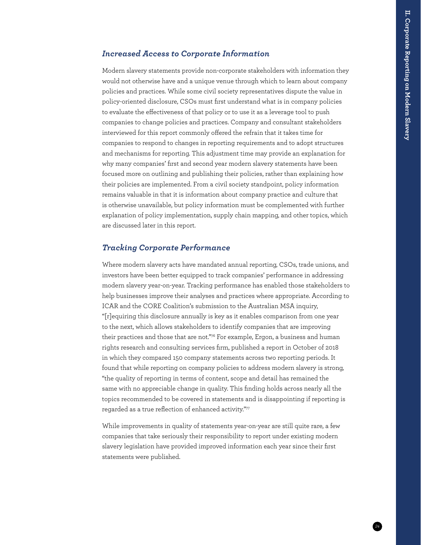#### *Increased Access to Corporate Information*

Modern slavery statements provide non-corporate stakeholders with information they would not otherwise have and a unique venue through which to learn about company policies and practices. While some civil society representatives dispute the value in policy-oriented disclosure, CSOs must first understand what is in company policies to evaluate the effectiveness of that policy or to use it as a leverage tool to push companies to change policies and practices. Company and consultant stakeholders interviewed for this report commonly offered the refrain that it takes time for companies to respond to changes in reporting requirements and to adopt structures and mechanisms for reporting. This adjustment time may provide an explanation for why many companies' first and second year modern slavery statements have been focused more on outlining and publishing their policies, rather than explaining how their policies are implemented. From a civil society standpoint, policy information remains valuable in that it is information about company practice and culture that is otherwise unavailable, but policy information must be complemented with further explanation of policy implementation, supply chain mapping, and other topics, which are discussed later in this report.

#### *Tracking Corporate Performance*

Where modern slavery acts have mandated annual reporting, CSOs, trade unions, and investors have been better equipped to track companies' performance in addressing modern slavery year-on-year. Tracking performance has enabled those stakeholders to help businesses improve their analyses and practices where appropriate. According to ICAR and the CORE Coalition's submission to the Australian MSA inquiry, "[r]equiring this disclosure annually is key as it enables comparison from one year to the next, which allows stakeholders to identify companies that are improving their practices and those that are not.["76](#page--1-23) For example, Ergon, a business and human rights research and consulting services firm, published a report in October of 2018 in which they compared 150 company statements across two reporting periods. It found that while reporting on company policies to address modern slavery is strong, "the quality of reporting in terms of content, scope and detail has remained the same with no appreciable change in quality. This finding holds across nearly all the topics recommended to be covered in statements and is disappointing if reporting is regarded as a true reflection of enhanced activity.["77](#page--1-43)

While improvements in quality of statements year-on-year are still quite rare, a few companies that take seriously their responsibility to report under existing modern slavery legislation have provided improved information each year since their first statements were published.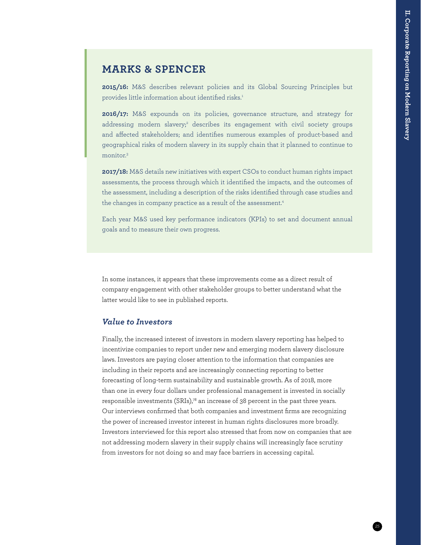### **MARKS & SPENCER**

**2015/16:** M&S describes relevant policies and its Global Sourcing Principles but provides little information about identified risks.<sup>1</sup>

**2016/17:** M&S expounds on its policies, governance structure, and strategy for addressing modern slavery;<sup>2</sup> describes its engagement with civil society groups and affected stakeholders; and identifies numerous examples of product-based and geographical risks of modern slavery in its supply chain that it planned to continue to monitor.3

**2017/18:** M&S details new initiatives with expert CSOs to conduct human rights impact assessments, the process through which it identified the impacts, and the outcomes of the assessment, including a description of the risks identified through case studies and the changes in company practice as a result of the assessment.<sup>4</sup>

Each year M&S used key performance indicators (KPIs) to set and document annual goals and to measure their own progress.

In some instances, it appears that these improvements come as a direct result of company engagement with other stakeholder groups to better understand what the latter would like to see in published reports.

#### *Value to Investors*

Finally, the increased interest of investors in modern slavery reporting has helped to incentivize companies to report under new and emerging modern slavery disclosure laws. Investors are paying closer attention to the information that companies are including in their reports and are increasingly connecting reporting to better forecasting of long-term sustainability and sustainable growth. As of 2018, more than one in every four dollars under professional management is invested in socially responsible investments  $(SRIs),^78$  an increase of 38 percent in the past three years. Our interviews confirmed that both companies and investment firms are recognizing the power of increased investor interest in human rights disclosures more broadly. Investors interviewed for this report also stressed that from now on companies that are not addressing modern slavery in their supply chains will increasingly face scrutiny from investors for not doing so and may face barriers in accessing capital.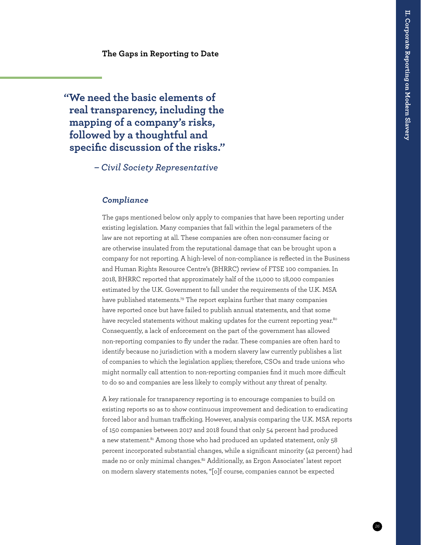**The Gaps in Reporting to Date**

 **"We need the basic elements of real transparency, including the mapping of a company's risks, followed by a thoughtful and specific discussion of the risks."**

*– Civil Society Representative*

#### *Compliance*

The gaps mentioned below only apply to companies that have been reporting under existing legislation. Many companies that fall within the legal parameters of the law are not reporting at all. These companies are often non-consumer facing or are otherwise insulated from the reputational damage that can be brought upon a company for not reporting. A high-level of non-compliance is reflected in the Business and Human Rights Resource Centre's (BHRRC) review of FTSE 100 companies. In 2018, BHRRC reported that approximately half of the 11,000 to 18,000 companies estimated by the U.K. Government to fall under the requirements of the U.K. MSA have published statements.<sup>79</sup> The report explains further that many companies have reported once but have failed to publish annual statements, and that some have recycled statements without making updates for the current reporting year.<sup>[80](#page--1-16)</sup> Consequently, a lack of enforcement on the part of the government has allowed non-reporting companies to fly under the radar. These companies are often hard to identify because no jurisdiction with a modern slavery law currently publishes a list of companies to which the legislation applies; therefore, CSOs and trade unions who might normally call attention to non-reporting companies find it much more difficult to do so and companies are less likely to comply without any threat of penalty.

A key rationale for transparency reporting is to encourage companies to build on existing reports so as to show continuous improvement and dedication to eradicating forced labor and human trafficking. However, analysis comparing the U.K. MSA reports of 150 companies between 2017 and 2018 found that only 54 percent had produced a new statement.<sup>81</sup> Among those who had produced an updated statement, only 58 percent incorporated substantial changes, while a significant minority (42 percent) had made no or only minimal changes[.82](#page--1-46) Additionally, as Ergon Associates' latest report on modern slavery statements notes, "[o]f course, companies cannot be expected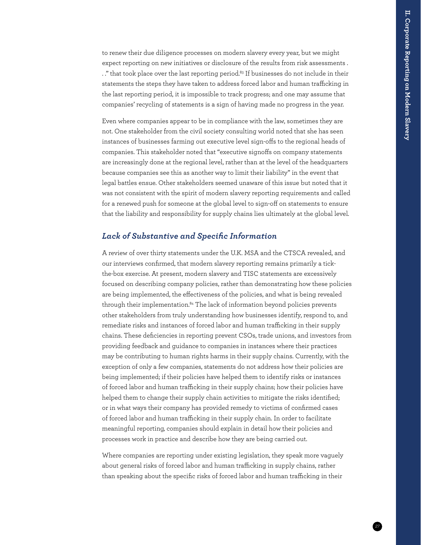to renew their due diligence processes on modern slavery every year, but we might expect reporting on new initiatives or disclosure of the results from risk assessments . .." that took place over the last reporting period.<sup>83</sup> If businesses do not include in their statements the steps they have taken to address forced labor and human trafficking in the last reporting period, it is impossible to track progress; and one may assume that companies' recycling of statements is a sign of having made no progress in the year.

Even where companies appear to be in compliance with the law, sometimes they are not. One stakeholder from the civil society consulting world noted that she has seen instances of businesses farming out executive level sign-offs to the regional heads of companies. This stakeholder noted that "executive signoffs on company statements are increasingly done at the regional level, rather than at the level of the headquarters because companies see this as another way to limit their liability" in the event that legal battles ensue. Other stakeholders seemed unaware of this issue but noted that it was not consistent with the spirit of modern slavery reporting requirements and called for a renewed push for someone at the global level to sign-off on statements to ensure that the liability and responsibility for supply chains lies ultimately at the global level.

#### *Lack of Substantive and Specific Information*

A review of over thirty statements under the U.K. MSA and the CTSCA revealed, and our interviews confirmed, that modern slavery reporting remains primarily a tickthe-box exercise. At present, modern slavery and TISC statements are excessively focused on describing company policies, rather than demonstrating how these policies are being implemented, the effectiveness of the policies, and what is being revealed through their implementation. $84$  The lack of information beyond policies prevents other stakeholders from truly understanding how businesses identify, respond to, and remediate risks and instances of forced labor and human trafficking in their supply chains. These deficiencies in reporting prevent CSOs, trade unions, and investors from providing feedback and guidance to companies in instances where their practices may be contributing to human rights harms in their supply chains. Currently, with the exception of only a few companies, statements do not address how their policies are being implemented; if their policies have helped them to identify risks or instances of forced labor and human trafficking in their supply chains; how their policies have helped them to change their supply chain activities to mitigate the risks identified; or in what ways their company has provided remedy to victims of confirmed cases of forced labor and human trafficking in their supply chain. In order to facilitate meaningful reporting, companies should explain in detail how their policies and processes work in practice and describe how they are being carried out.

Where companies are reporting under existing legislation, they speak more vaguely about general risks of forced labor and human trafficking in supply chains, rather than speaking about the specific risks of forced labor and human trafficking in their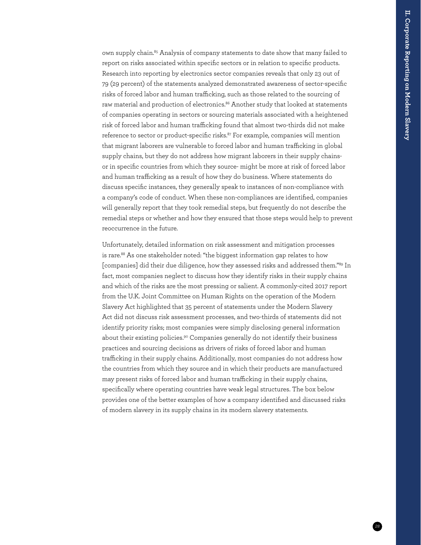own supply chain.<sup>85</sup> Analysis of company statements to date show that many failed to report on risks associated within specific sectors or in relation to specific products. Research into reporting by electronics sector companies reveals that only 23 out of 79 (29 percent) of the statements analyzed demonstrated awareness of sector-specific risks of forced labor and human trafficking, such as those related to the sourcing of raw material and production of electronics.<sup>86</sup> Another study that looked at statements of companies operating in sectors or sourcing materials associated with a heightened risk of forced labor and human trafficking found that almost two-thirds did not make reference to sector or product-specific risks.<sup>[87](#page--1-32)</sup> For example, companies will mention that migrant laborers are vulnerable to forced labor and human trafficking in global supply chains, but they do not address how migrant laborers in their supply chainsor in specific countries from which they source- might be more at risk of forced labor and human trafficking as a result of how they do business. Where statements do discuss specific instances, they generally speak to instances of non-compliance with a company's code of conduct. When these non-compliances are identified, companies will generally report that they took remedial steps, but frequently do not describe the remedial steps or whether and how they ensured that those steps would help to prevent reoccurrence in the future.

Unfortunately, detailed information on risk assessment and mitigation processes is rare.<sup>88</sup> As one stakeholder noted: "the biggest information gap relates to how [companies] did their due diligence, how they assessed risks and addressed them."<sup>89</sup> In fact, most companies neglect to discuss how they identify risks in their supply chains and which of the risks are the most pressing or salient. A commonly-cited 2017 report from the U.K. Joint Committee on Human Rights on the operation of the Modern Slavery Act highlighted that 35 percent of statements under the Modern Slavery Act did not discuss risk assessment processes, and two-thirds of statements did not identify priority risks; most companies were simply disclosing general information about their existing policies.<sup>90</sup> Companies generally do not identify their business practices and sourcing decisions as drivers of risks of forced labor and human trafficking in their supply chains. Additionally, most companies do not address how the countries from which they source and in which their products are manufactured may present risks of forced labor and human trafficking in their supply chains, specifically where operating countries have weak legal structures. The box below provides one of the better examples of how a company identified and discussed risks of modern slavery in its supply chains in its modern slavery statements.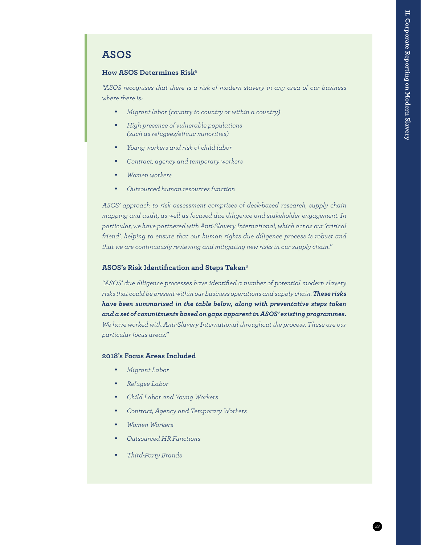### **ASOS**

#### **How ASOS Determines Risk**<sup>5</sup>

*"ASOS recognises that there is a risk of modern slavery in any area of our business where there is:* 

- • *Migrant labor (country to country or within a country)*
- • *High presence of vulnerable populations (such as refugees/ethnic minorities)*
- • *Young workers and risk of child labor*
- • *Contract, agency and temporary workers*
- • *Women workers*
- • *Outsourced human resources function*

*ASOS' approach to risk assessment comprises of desk-based research, supply chain mapping and audit, as well as focused due diligence and stakeholder engagement. In particular, we have partnered with Anti-Slavery International, which act as our 'critical friend', helping to ensure that our human rights due diligence process is robust and that we are continuously reviewing and mitigating new risks in our supply chain."* 

#### **ASOS's Risk Identification and Steps Taken**<sup>6</sup>

*"ASOS' due diligence processes have identified a number of potential modern slavery risks that could be present within our business operations and supply chain. These risks have been summarised in the table below, along with preventative steps taken and a set of commitments based on gaps apparent in ASOS' existing programmes. We have worked with Anti-Slavery International throughout the process. These are our particular focus areas."* 

#### **2018's Focus Areas Included**

- • *Migrant Labor*
- • *Refugee Labor*
- • *Child Labor and Young Workers*
- • *Contract, Agency and Temporary Workers*
- • *Women Workers*
- • *Outsourced HR Functions*
- • *Third-Party Brands*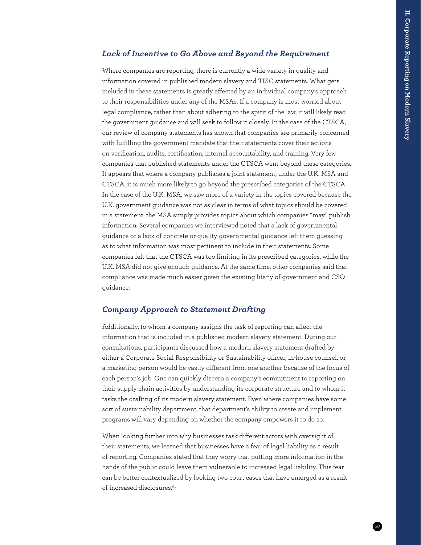#### *Lack of Incentive to Go Above and Beyond the Requirement*

Where companies are reporting, there is currently a wide variety in quality and information covered in published modern slavery and TISC statements. What gets included in these statements is greatly affected by an individual company's approach to their responsibilities under any of the MSAs. If a company is most worried about legal compliance, rather than about adhering to the spirit of the law, it will likely read the government guidance and will seek to follow it closely. In the case of the CTSCA, our review of company statements has shown that companies are primarily concerned with fulfilling the government mandate that their statements cover their actions on verification, audits, certification, internal accountability, and training. Very few companies that published statements under the CTSCA went beyond these categories. It appears that where a company publishes a joint statement, under the U.K. MSA and CTSCA, it is much more likely to go beyond the prescribed categories of the CTSCA. In the case of the U.K. MSA, we saw more of a variety in the topics covered because the U.K. government guidance was not as clear in terms of what topics should be covered in a statement; the MSA simply provides topics about which companies "may" publish information. Several companies we interviewed noted that a lack of governmental guidance or a lack of concrete or quality governmental guidance left them guessing as to what information was most pertinent to include in their statements. Some companies felt that the CTSCA was too limiting in its prescribed categories, while the U.K. MSA did not give enough guidance. At the same time, other companies said that compliance was made much easier given the existing litany of government and CSO guidance.

#### *Company Approach to Statement Drafting*

Additionally, to whom a company assigns the task of reporting can affect the information that is included in a published modern slavery statement. During our consultations, participants discussed how a modern slavery statement drafted by either a Corporate Social Responsibility or Sustainability officer, in-house counsel, or a marketing person would be vastly different from one another because of the focus of each person's job. One can quickly discern a company's commitment to reporting on their supply chain activities by understanding its corporate structure and to whom it tasks the drafting of its modern slavery statement. Even where companies have some sort of sustainability department, that department's ability to create and implement programs will vary depending on whether the company empowers it to do so.

When looking further into why businesses task different actors with oversight of their statements, we learned that businesses have a fear of legal liability as a result of reporting. Companies stated that they worry that putting more information in the hands of the public could leave them vulnerable to increased legal liability. This fear can be better contextualized by looking two court cases that have emerged as a result of increased disclosures<sup>[91](#page--1-10)</sup>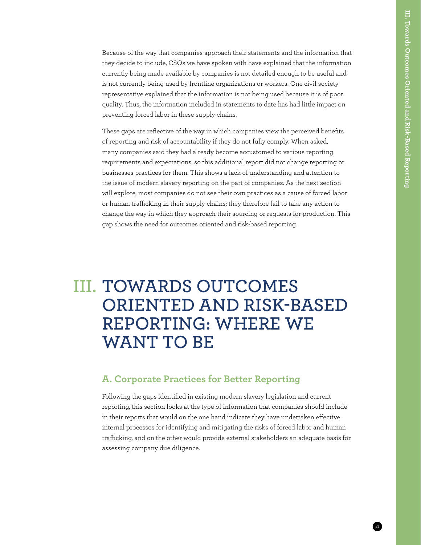Because of the way that companies approach their statements and the information that they decide to include, CSOs we have spoken with have explained that the information currently being made available by companies is not detailed enough to be useful and is not currently being used by frontline organizations or workers. One civil society representative explained that the information is not being used because it is of poor quality. Thus, the information included in statements to date has had little impact on preventing forced labor in these supply chains.

These gaps are reflective of the way in which companies view the perceived benefits of reporting and risk of accountability if they do not fully comply. When asked, many companies said they had already become accustomed to various reporting requirements and expectations, so this additional report did not change reporting or businesses practices for them. This shows a lack of understanding and attention to the issue of modern slavery reporting on the part of companies. As the next section will explore, most companies do not see their own practices as a cause of forced labor or human trafficking in their supply chains; they therefore fail to take any action to change the way in which they approach their sourcing or requests for production. This gap shows the need for outcomes oriented and risk-based reporting.

## **TOWARDS OUTCOMES III. ORIENTED AND RISK-BASED REPORTING: WHERE WE WANT TO BE**

#### **A. Corporate Practices for Better Reporting**

Following the gaps identified in existing modern slavery legislation and current reporting, this section looks at the type of information that companies should include in their reports that would on the one hand indicate they have undertaken effective internal processes for identifying and mitigating the risks of forced labor and human trafficking, and on the other would provide external stakeholders an adequate basis for assessing company due diligence.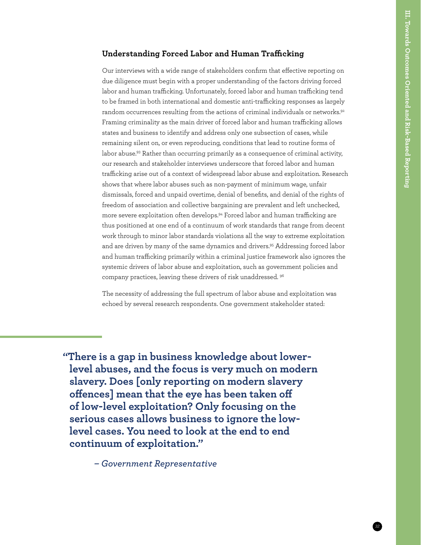#### **Understanding Forced Labor and Human Trafficking**

Our interviews with a wide range of stakeholders confirm that effective reporting on due diligence must begin with a proper understanding of the factors driving forced labor and human trafficking. Unfortunately, forced labor and human trafficking tend to be framed in both international and domestic anti-trafficking responses as largely random occurrences resulting from the actions of criminal individuals or networks.<sup>92</sup> Framing criminality as the main driver of forced labor and human trafficking allows states and business to identify and address only one subsection of cases, while remaining silent on, or even reproducing, conditions that lead to routine forms of labor abuse.<sup>93</sup> Rather than occurring primarily as a consequence of criminal activity, our research and stakeholder interviews underscore that forced labor and human trafficking arise out of a context of widespread labor abuse and exploitation. Research shows that where labor abuses such as non-payment of minimum wage, unfair dismissals, forced and unpaid overtime, denial of benefits, and denial of the rights of freedom of association and collective bargaining are prevalent and left unchecked, more severe exploitation often develops.[94](#page--1-49) Forced labor and human trafficking are thus positioned at one end of a continuum of work standards that range from decent work through to minor labor standards violations all the way to extreme exploitation and are driven by many of the same dynamics and drivers.<sup>[95](#page--1-14)</sup> Addressing forced labor and human trafficking primarily within a criminal justice framework also ignores the systemic drivers of labor abuse and exploitation, such as government policies and company practices, leaving these drivers of risk unaddressed. [96](#page--1-46)

The necessity of addressing the full spectrum of labor abuse and exploitation was echoed by several research respondents. One government stakeholder stated:

 **"There is a gap in business knowledge about lowerlevel abuses, and the focus is very much on modern slavery. Does [only reporting on modern slavery offences] mean that the eye has been taken off of low-level exploitation? Only focusing on the serious cases allows business to ignore the lowlevel cases. You need to look at the end to end continuum of exploitation."**

*– Government Representative*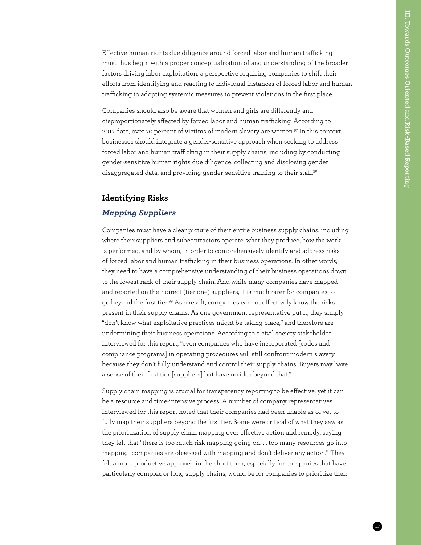Effective human rights due diligence around forced labor and human trafficking must thus begin with a proper conceptualization of and understanding of the broader factors driving labor exploitation, a perspective requiring companies to shift their efforts from identifying and reacting to individual instances of forced labor and human trafficking to adopting systemic measures to prevent violations in the first place.

Companies should also be aware that women and girls are differently and disproportionately affected by forced labor and human trafficking. According to 2017 data, over 70 percent of victims of modern slavery are women.<sup>[97](#page--1-35)</sup> In this context, businesses should integrate a gender-sensitive approach when seeking to address forced labor and human trafficking in their supply chains, including by conducting gender-sensitive human rights due diligence, collecting and disclosing gender disaggregated data, and providing gender-sensitive training to their staff.[98](#page--1-19)

#### **Identifying Risks**

#### *Mapping Suppliers*

Companies must have a clear picture of their entire business supply chains, including where their suppliers and subcontractors operate, what they produce, how the work is performed, and by whom, in order to comprehensively identify and address risks of forced labor and human trafficking in their business operations. In other words, they need to have a comprehensive understanding of their business operations down to the lowest rank of their supply chain. And while many companies have mapped and reported on their direct (tier one) suppliers, it is much rarer for companies to go beyond the first tier[.99](#page--1-41) As a result, companies cannot effectively know the risks present in their supply chains. As one government representative put it, they simply "don't know what exploitative practices might be taking place," and therefore are undermining their business operations. According to a civil society stakeholder interviewed for this report, "even companies who have incorporated [codes and compliance programs] in operating procedures will still confront modern slavery because they don't fully understand and control their supply chains. Buyers may have a sense of their first tier [suppliers] but have no idea beyond that."

Supply chain mapping is crucial for transparency reporting to be effective, yet it can be a resource and time-intensive process. A number of company representatives interviewed for this report noted that their companies had been unable as of yet to fully map their suppliers beyond the first tier. Some were critical of what they saw as the prioritization of supply chain mapping over effective action and remedy, saying they felt that "there is too much risk mapping going on. . . too many resources go into mapping -companies are obsessed with mapping and don't deliver any action." They felt a more productive approach in the short term, especially for companies that have particularly complex or long supply chains, would be for companies to prioritize their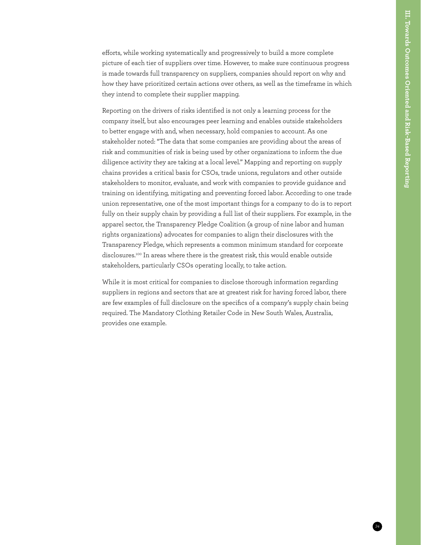efforts, while working systematically and progressively to build a more complete picture of each tier of suppliers over time. However, to make sure continuous progress is made towards full transparency on suppliers, companies should report on why and how they have prioritized certain actions over others, as well as the timeframe in which they intend to complete their supplier mapping.

Reporting on the drivers of risks identified is not only a learning process for the company itself, but also encourages peer learning and enables outside stakeholders to better engage with and, when necessary, hold companies to account. As one stakeholder noted: "The data that some companies are providing about the areas of risk and communities of risk is being used by other organizations to inform the due diligence activity they are taking at a local level." Mapping and reporting on supply chains provides a critical basis for CSOs, trade unions, regulators and other outside stakeholders to monitor, evaluate, and work with companies to provide guidance and training on identifying, mitigating and preventing forced labor. According to one trade union representative, one of the most important things for a company to do is to report fully on their supply chain by providing a full list of their suppliers. For example, in the apparel sector, the Transparency Pledge Coalition (a group of nine labor and human rights organizations) advocates for companies to align their disclosures with the Transparency Pledge, which represents a common minimum standard for corporate disclosures[.100](#page--1-50) In areas where there is the greatest risk, this would enable outside stakeholders, particularly CSOs operating locally, to take action.

While it is most critical for companies to disclose thorough information regarding suppliers in regions and sectors that are at greatest risk for having forced labor, there are few examples of full disclosure on the specifics of a company's supply chain being required. The Mandatory Clothing Retailer Code in New South Wales, Australia, provides one example.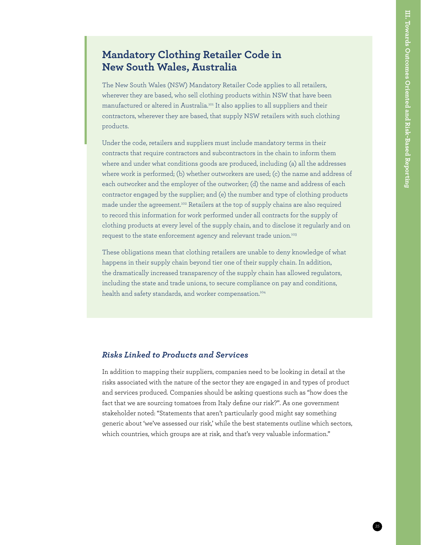## **Mandatory Clothing Retailer Code in New South Wales, Australia**

The New South Wales (NSW) Mandatory Retailer Code applies to all retailers, wherever they are based, who sell clothing products within NSW that have been manufactured or altered in Australia[.101](#page--1-51) It also applies to all suppliers and their contractors, wherever they are based, that supply NSW retailers with such clothing products.

Under the code, retailers and suppliers must include mandatory terms in their contracts that require contractors and subcontractors in the chain to inform them where and under what conditions goods are produced, including (a) all the addresses where work is performed; (b) whether outworkers are used; (c) the name and address of each outworker and the employer of the outworker; (d) the name and address of each contractor engaged by the supplier; and (e) the number and type of clothing products made under the agreement.[102](#page--1-52) Retailers at the top of supply chains are also required to record this information for work performed under all contracts for the supply of clothing products at every level of the supply chain, and to disclose it regularly and on request to the state enforcement agency and relevant trade union.<sup>[103](#page--1-53)</sup>

These obligations mean that clothing retailers are unable to deny knowledge of what happens in their supply chain beyond tier one of their supply chain. In addition, the dramatically increased transparency of the supply chain has allowed regulators, including the state and trade unions, to secure compliance on pay and conditions, health and safety standards, and worker compensation.<sup>104</sup>

#### *Risks Linked to Products and Services*

In addition to mapping their suppliers, companies need to be looking in detail at the risks associated with the nature of the sector they are engaged in and types of product and services produced. Companies should be asking questions such as "how does the fact that we are sourcing tomatoes from Italy define our risk?". As one government stakeholder noted: "Statements that aren't particularly good might say something generic about 'we've assessed our risk,' while the best statements outline which sectors, which countries, which groups are at risk, and that's very valuable information."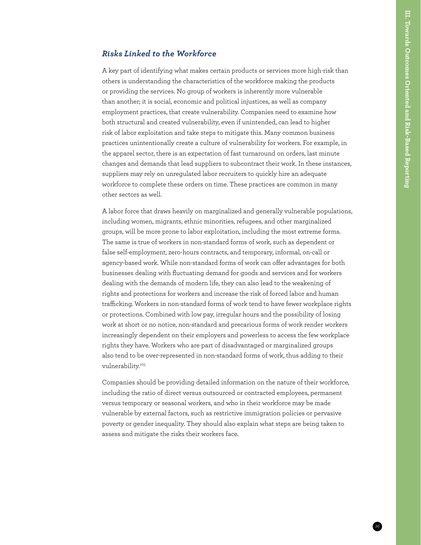#### *Risks Linked to the Workforce*

A key part of identifying what makes certain products or services more high-risk than others is understanding the characteristics of the workforce making the products or providing the services. No group of workers is inherently more vulnerable than another; it is social, economic and political injustices, as well as company employment practices, that create vulnerability. Companies need to examine how both structural and created vulnerability, even if unintended, can lead to higher risk of labor exploitation and take steps to mitigate this. Many common business practices unintentionally create a culture of vulnerability for workers. For example, in the apparel sector, there is an expectation of fast turnaround on orders, last minute changes and demands that lead suppliers to subcontract their work. In these instances, suppliers may rely on unregulated labor recruiters to quickly hire an adequate workforce to complete these orders on time. These practices are common in many other sectors as well.

A labor force that draws heavily on marginalized and generally vulnerable populations, including women, migrants, ethnic minorities, refugees, and other marginalized groups, will be more prone to labor exploitation, including the most extreme forms. The same is true of workers in non-standard forms of work, such as dependent or false self-employment, zero-hours contracts, and temporary, informal, on-call or agency-based work. While non-standard forms of work can offer advantages for both businesses dealing with fluctuating demand for goods and services and for workers dealing with the demands of modern life, they can also lead to the weakening of rights and protections for workers and increase the risk of forced labor and human trafficking. Workers in non-standard forms of work tend to have fewer workplace rights or protections. Combined with low pay, irregular hours and the possibility of losing work at short or no notice, non-standard and precarious forms of work render workers increasingly dependent on their employers and powerless to access the few workplace rights they have. Workers who are part of disadvantaged or marginalized groups also tend to be over-represented in non-standard forms of work, thus adding to their vulnerability.[105](#page--1-55)

Companies should be providing detailed information on the nature of their workforce, including the ratio of direct versus outsourced or contracted employees, permanent versus temporary or seasonal workers, and who in their workforce may be made vulnerable by external factors, such as restrictive immigration policies or pervasive poverty or gender inequality. They should also explain what steps are being taken to assess and mitigate the risks their workers face.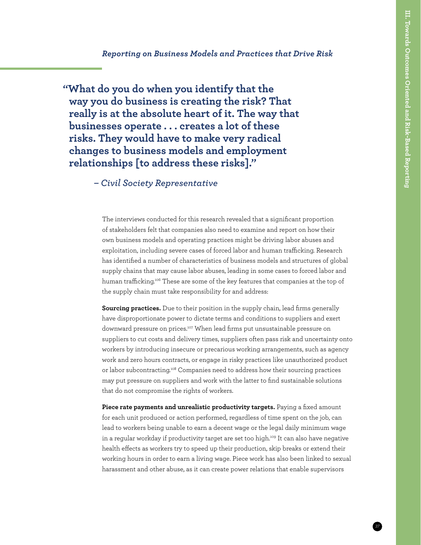#### *Reporting on Business Models and Practices that Drive Risk*

 **"What do you do when you identify that the way you do business is creating the risk? That really is at the absolute heart of it. The way that businesses operate . . . creates a lot of these risks. They would have to make very radical changes to business models and employment relationships [to address these risks]."**

*– Civil Society Representative*

The interviews conducted for this research revealed that a significant proportion of stakeholders felt that companies also need to examine and report on how their own business models and operating practices might be driving labor abuses and exploitation, including severe cases of forced labor and human trafficking. Research has identified a number of characteristics of business models and structures of global supply chains that may cause labor abuses, leading in some cases to forced labor and human trafficking[.106](#page--1-56) These are some of the key features that companies at the top of the supply chain must take responsibility for and address:

**Sourcing practices.** Due to their position in the supply chain, lead firms generally have disproportionate power to dictate terms and conditions to suppliers and exert downward pressure on prices.[107](#page--1-57) When lead firms put unsustainable pressure on suppliers to cut costs and delivery times, suppliers often pass risk and uncertainty onto workers by introducing insecure or precarious working arrangements, such as agency work and zero hours contracts, or engage in risky practices like unauthorized product or labor subcontracting.<sup>108</sup> Companies need to address how their sourcing practices may put pressure on suppliers and work with the latter to find sustainable solutions that do not compromise the rights of workers.

**Piece rate payments and unrealistic productivity targets.** Paying a fixed amount for each unit produced or action performed, regardless of time spent on the job, can lead to workers being unable to earn a decent wage or the legal daily minimum wage in a regular workday if productivity target are set too high.<sup>109</sup> It can also have negative health effects as workers try to speed up their production, skip breaks or extend their working hours in order to earn a living wage. Piece work has also been linked to sexual harassment and other abuse, as it can create power relations that enable supervisors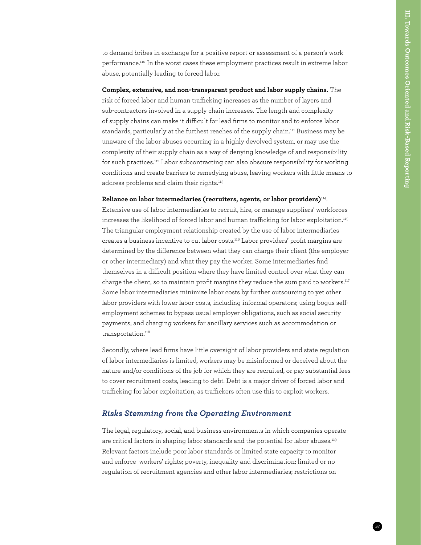to demand bribes in exchange for a positive report or assessment of a person's work performance.[110](#page--1-60) In the worst cases these employment practices result in extreme labor abuse, potentially leading to forced labor.

**Complex, extensive, and non-transparent product and labor supply chains.** The risk of forced labor and human trafficking increases as the number of layers and sub-contractors involved in a supply chain increases. The length and complexity of supply chains can make it difficult for lead firms to monitor and to enforce labor standards, particularly at the furthest reaches of the supply chain.<sup>111</sup> Business may be unaware of the labor abuses occurring in a highly devolved system, or may use the complexity of their supply chain as a way of denying knowledge of and responsibility for such practices.<sup>112</sup> Labor subcontracting can also obscure responsibility for working conditions and create barriers to remedying abuse, leaving workers with little means to address problems and claim their rights.<sup>113</sup>

#### **Reliance on labor intermediaries (recruiters, agents, or labor providers)**[114.](#page--1-64)

Extensive use of labor intermediaries to recruit, hire, or manage suppliers' workforces increases the likelihood of forced labor and human trafficking for labor exploitation[.115](#page--1-65) The triangular employment relationship created by the use of labor intermediaries creates a business incentive to cut labor costs[.116](#page--1-66) Labor providers' profit margins are determined by the difference between what they can charge their client (the employer or other intermediary) and what they pay the worker. Some intermediaries find themselves in a difficult position where they have limited control over what they can charge the client, so to maintain profit margins they reduce the sum paid to workers.<sup>117</sup> Some labor intermediaries minimize labor costs by further outsourcing to yet other labor providers with lower labor costs, including informal operators; using bogus selfemployment schemes to bypass usual employer obligations, such as social security payments; and charging workers for ancillary services such as accommodation or transportation.<sup>[118](#page--1-54)</sup>

Secondly, where lead firms have little oversight of labor providers and state regulation of labor intermediaries is limited, workers may be misinformed or deceived about the nature and/or conditions of the job for which they are recruited, or pay substantial fees to cover recruitment costs, leading to debt. Debt is a major driver of forced labor and trafficking for labor exploitation, as traffickers often use this to exploit workers.

#### *Risks Stemming from the Operating Environment*

The legal, regulatory, social, and business environments in which companies operate are critical factors in shaping labor standards and the potential for labor abuses.<sup>119</sup> Relevant factors include poor labor standards or limited state capacity to monitor and enforce workers' rights; poverty, inequality and discrimination; limited or no regulation of recruitment agencies and other labor intermediaries; restrictions on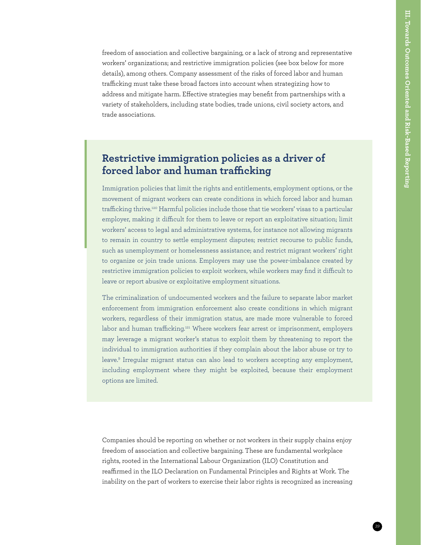freedom of association and collective bargaining, or a lack of strong and representative workers' organizations; and restrictive immigration policies (see box below for more details), among others. Company assessment of the risks of forced labor and human trafficking must take these broad factors into account when strategizing how to address and mitigate harm. Effective strategies may benefit from partnerships with a variety of stakeholders, including state bodies, trade unions, civil society actors, and trade associations.

## **Restrictive immigration policies as a driver of forced labor and human trafficking**

Immigration policies that limit the rights and entitlements, employment options, or the movement of migrant workers can create conditions in which forced labor and human trafficking thrive.120 Harmful policies include those that tie workers' visas to a particular employer, making it difficult for them to leave or report an exploitative situation; limit workers' access to legal and administrative systems, for instance not allowing migrants to remain in country to settle employment disputes; restrict recourse to public funds, such as unemployment or homelessness assistance; and restrict migrant workers' right to organize or join trade unions. Employers may use the power-imbalance created by restrictive immigration policies to exploit workers, while workers may find it difficult to leave or report abusive or exploitative employment situations.

The criminalization of undocumented workers and the failure to separate labor market enforcement from immigration enforcement also create conditions in which migrant workers, regardless of their immigration status, are made more vulnerable to forced labor and human trafficking.121 Where workers fear arrest or imprisonment, employers may leverage a migrant worker's status to exploit them by threatening to report the individual to immigration authorities if they complain about the labor abuse or try to leave.9 Irregular migrant status can also lead to workers accepting any employment, including employment where they might be exploited, because their employment options are limited.

Companies should be reporting on whether or not workers in their supply chains enjoy freedom of association and collective bargaining. These are fundamental workplace rights, rooted in the International Labour Organization (ILO) Constitution and reaffirmed in the ILO Declaration on Fundamental Principles and Rights at Work. The inability on the part of workers to exercise their labor rights is recognized as increasing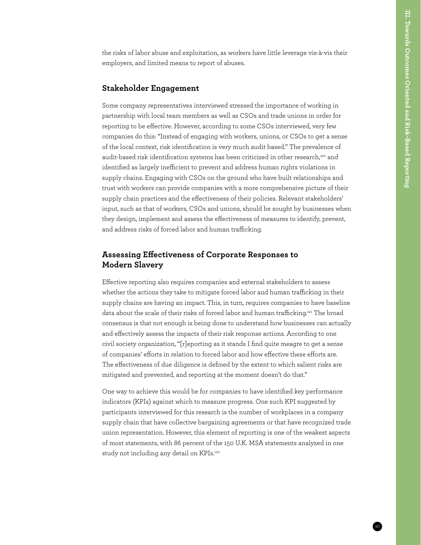the risks of labor abuse and exploitation, as workers have little leverage vis-à-vis their employers, and limited means to report of abuses.

#### **Stakeholder Engagement**

Some company representatives interviewed stressed the importance of working in partnership with local team members as well as CSOs and trade unions in order for reporting to be effective. However, according to some CSOs interviewed, very few companies do this: "Instead of engaging with workers, unions, or CSOs to get a sense of the local context, risk identification is very much audit based." The prevalence of audit-based risk identification systems has been criticized in other research,<sup>120</sup> and identified as largely inefficient to prevent and address human rights violations in supply chains. Engaging with CSOs on the ground who have built relationships and trust with workers can provide companies with a more comprehensive picture of their supply chain practices and the effectiveness of their policies. Relevant stakeholders' input, such as that of workers, CSOs and unions, should be sought by businesses when they design, implement and assess the effectiveness of measures to identify, prevent, and address risks of forced labor and human trafficking.

#### **Assessing Effectiveness of Corporate Responses to Modern Slavery**

Effective reporting also requires companies and external stakeholders to assess whether the actions they take to mitigate forced labor and human trafficking in their supply chains are having an impact. This, in turn, requires companies to have baseline data about the scale of their risks of forced labor and human trafficking.<sup>[121](#page--1-55)</sup> The broad consensus is that not enough is being done to understand how businesses can actually and effectively assess the impacts of their risk response actions. According to one civil society organization, "[r]eporting as it stands I find quite meagre to get a sense of companies' efforts in relation to forced labor and how effective these efforts are. The effectiveness of due diligence is defined by the extent to which salient risks are mitigated and prevented, and reporting at the moment doesn't do that."

One way to achieve this would be for companies to have identified key performance indicators (KPIs) against which to measure progress. One such KPI suggested by participants interviewed for this research is the number of workplaces in a company supply chain that have collective bargaining agreements or that have recognized trade union representation. However, this element of reporting is one of the weakest aspects of most statements, with 86 percent of the 150 U.K. MSA statements analyzed in one study not including any detail on KPIs.<sup>[122](#page--1-56)</sup>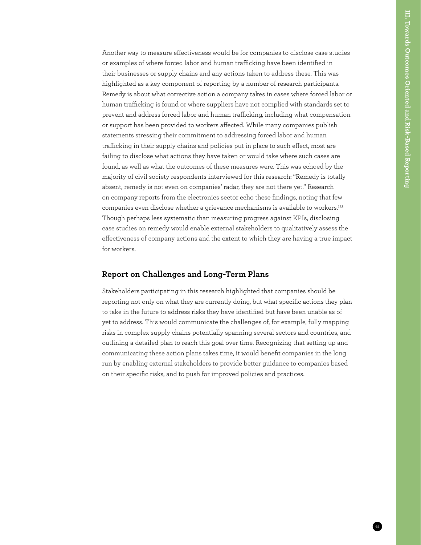Another way to measure effectiveness would be for companies to disclose case studies or examples of where forced labor and human trafficking have been identified in their businesses or supply chains and any actions taken to address these. This was highlighted as a key component of reporting by a number of research participants. Remedy is about what corrective action a company takes in cases where forced labor or human trafficking is found or where suppliers have not complied with standards set to prevent and address forced labor and human trafficking, including what compensation or support has been provided to workers affected. While many companies publish statements stressing their commitment to addressing forced labor and human trafficking in their supply chains and policies put in place to such effect, most are failing to disclose what actions they have taken or would take where such cases are found, as well as what the outcomes of these measures were. This was echoed by the majority of civil society respondents interviewed for this research: "Remedy is totally absent, remedy is not even on companies' radar, they are not there yet." Research on company reports from the electronics sector echo these findings, noting that few companies even disclose whether a grievance mechanisms is available to workers.<sup>[123](#page--1-70)</sup> Though perhaps less systematic than measuring progress against KPIs, disclosing case studies on remedy would enable external stakeholders to qualitatively assess the effectiveness of company actions and the extent to which they are having a true impact for workers.

#### **Report on Challenges and Long-Term Plans**

Stakeholders participating in this research highlighted that companies should be reporting not only on what they are currently doing, but what specific actions they plan to take in the future to address risks they have identified but have been unable as of yet to address. This would communicate the challenges of, for example, fully mapping risks in complex supply chains potentially spanning several sectors and countries, and outlining a detailed plan to reach this goal over time. Recognizing that setting up and communicating these action plans takes time, it would benefit companies in the long run by enabling external stakeholders to provide better guidance to companies based on their specific risks, and to push for improved policies and practices.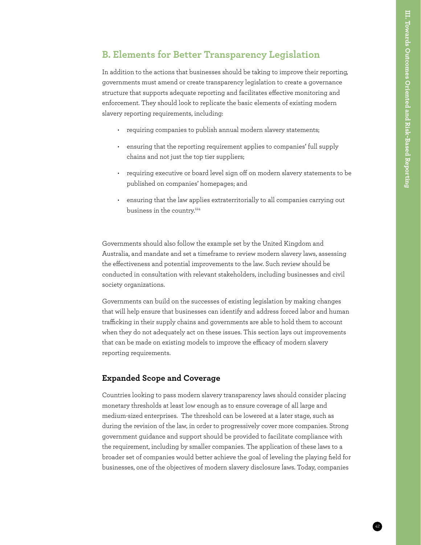### **B. Elements for Better Transparency Legislation**

In addition to the actions that businesses should be taking to improve their reporting, governments must amend or create transparency legislation to create a governance structure that supports adequate reporting and facilitates effective monitoring and enforcement. They should look to replicate the basic elements of existing modern slavery reporting requirements, including:

- requiring companies to publish annual modern slavery statements;
- ensuring that the reporting requirement applies to companies' full supply chains and not just the top tier suppliers;
- requiring executive or board level sign off on modern slavery statements to be published on companies' homepages; and
- ensuring that the law applies extraterritorially to all companies carrying out business in the country.[124](#page--1-57)

Governments should also follow the example set by the United Kingdom and Australia, and mandate and set a timeframe to review modern slavery laws, assessing the effectiveness and potential improvements to the law. Such review should be conducted in consultation with relevant stakeholders, including businesses and civil society organizations.

Governments can build on the successes of existing legislation by making changes that will help ensure that businesses can identify and address forced labor and human trafficking in their supply chains and governments are able to hold them to account when they do not adequately act on these issues. This section lays out improvements that can be made on existing models to improve the efficacy of modern slavery reporting requirements.

#### **Expanded Scope and Coverage**

Countries looking to pass modern slavery transparency laws should consider placing monetary thresholds at least low enough as to ensure coverage of all large and medium-sized enterprises. The threshold can be lowered at a later stage, such as during the revision of the law, in order to progressively cover more companies. Strong government guidance and support should be provided to facilitate compliance with the requirement, including by smaller companies. The application of these laws to a broader set of companies would better achieve the goal of leveling the playing field for businesses, one of the objectives of modern slavery disclosure laws. Today, companies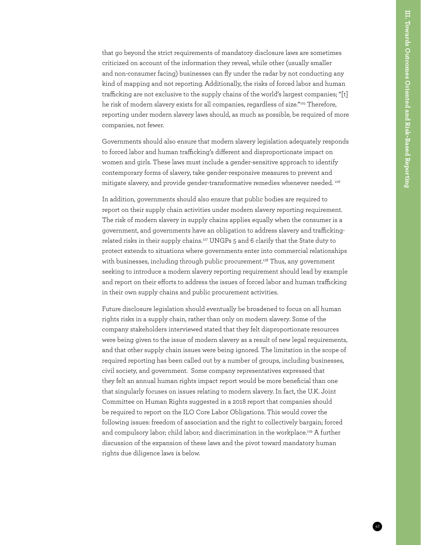that go beyond the strict requirements of mandatory disclosure laws are sometimes criticized on account of the information they reveal, while other (usually smaller and non-consumer facing) businesses can fly under the radar by not conducting any kind of mapping and not reporting. Additionally, the risks of forced labor and human trafficking are not exclusive to the supply chains of the world's largest companies; "[t] he risk of modern slavery exists for all companies, regardless of size."[125](#page--1-58) Therefore, reporting under modern slavery laws should, as much as possible, be required of more companies, not fewer.

Governments should also ensure that modern slavery legislation adequately responds to forced labor and human trafficking's different and disproportionate impact on women and girls. These laws must include a gender-sensitive approach to identify contemporary forms of slavery, take gender-responsive measures to prevent and mitigate slavery, and provide gender-transformative remedies whenever needed. [126](#page--1-71)

In addition, governments should also ensure that public bodies are required to report on their supply chain activities under modern slavery reporting requirement. The risk of modern slavery in supply chains applies equally when the consumer is a government, and governments have an obligation to address slavery and traffickingrelated risks in their supply chains.[127](#page--1-72) UNGPs 5 and 6 clarify that the State duty to protect extends to situations where governments enter into commercial relationships with businesses, including through public procurement.<sup>128</sup> Thus, any government seeking to introduce a modern slavery reporting requirement should lead by example and report on their efforts to address the issues of forced labor and human trafficking in their own supply chains and public procurement activities.

Future disclosure legislation should eventually be broadened to focus on all human rights risks in a supply chain, rather than only on modern slavery. Some of the company stakeholders interviewed stated that they felt disproportionate resources were being given to the issue of modern slavery as a result of new legal requirements, and that other supply chain issues were being ignored. The limitation in the scope of required reporting has been called out by a number of groups, including businesses, civil society, and government. Some company representatives expressed that they felt an annual human rights impact report would be more beneficial than one that singularly focuses on issues relating to modern slavery. In fact, the U.K. Joint Committee on Human Rights suggested in a 2018 report that companies should be required to report on the ILO Core Labor Obligations. This would cover the following issues: freedom of association and the right to collectively bargain; forced and compulsory labor; child labor; and discrimination in the workplace.<sup>129</sup> A further discussion of the expansion of these laws and the pivot toward mandatory human rights due diligence laws is below.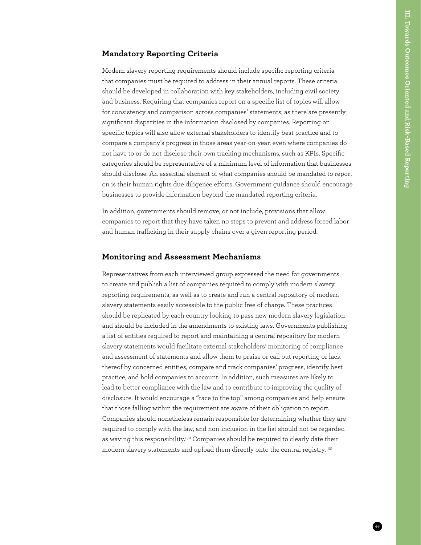#### **Mandatory Reporting Criteria**

Modern slavery reporting requirements should include specific reporting criteria that companies must be required to address in their annual reports. These criteria should be developed in collaboration with key stakeholders, including civil society and business. Requiring that companies report on a specific list of topics will allow for consistency and comparison across companies' statements, as there are presently significant disparities in the information disclosed by companies. Reporting on specific topics will also allow external stakeholders to identify best practice and to compare a company's progress in those areas year-on-year, even where companies do not have to or do not disclose their own tracking mechanisms, such as KPIs. Specific categories should be representative of a minimum level of information that businesses should disclose. An essential element of what companies should be mandated to report on is their human rights due diligence efforts. Government guidance should encourage businesses to provide information beyond the mandated reporting criteria.

In addition, governments should remove, or not include, provisions that allow companies to report that they have taken no steps to prevent and address forced labor and human trafficking in their supply chains over a given reporting period.

#### **Monitoring and Assessment Mechanisms**

Representatives from each interviewed group expressed the need for governments to create and publish a list of companies required to comply with modern slavery reporting requirements, as well as to create and run a central repository of modern slavery statements easily accessible to the public free of charge. These practices should be replicated by each country looking to pass new modern slavery legislation and should be included in the amendments to existing laws. Governments publishing a list of entities required to report and maintaining a central repository for modern slavery statements would facilitate external stakeholders' monitoring of compliance and assessment of statements and allow them to praise or call out reporting or lack thereof by concerned entities, compare and track companies' progress, identify best practice, and hold companies to account. In addition, such measures are likely to lead to better compliance with the law and to contribute to improving the quality of disclosure. It would encourage a "race to the top" among companies and help ensure that those falling within the requirement are aware of their obligation to report. Companies should nonetheless remain responsible for determining whether they are required to comply with the law, and non-inclusion in the list should not be regarded as waving this responsibility.<sup>130</sup> Companies should be required to clearly date their modern slavery statements and upload them directly onto the central registry.<sup>131</sup>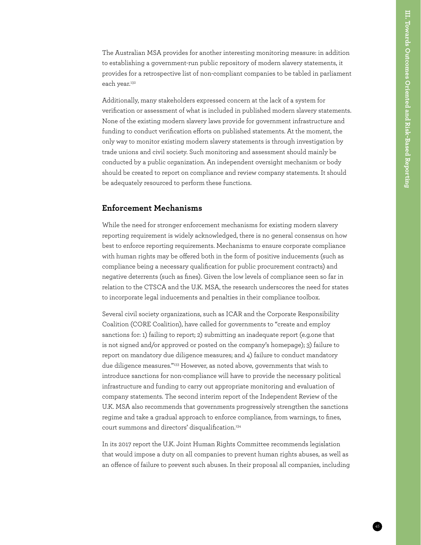The Australian MSA provides for another interesting monitoring measure: in addition to establishing a government-run public repository of modern slavery statements, it provides for a retrospective list of non-compliant companies to be tabled in parliament each year.<sup>[132](#page--1-62)</sup>

Additionally, many stakeholders expressed concern at the lack of a system for verification or assessment of what is included in published modern slavery statements. None of the existing modern slavery laws provide for government infrastructure and funding to conduct verification efforts on published statements. At the moment, the only way to monitor existing modern slavery statements is through investigation by trade unions and civil society. Such monitoring and assessment should mainly be conducted by a public organization. An independent oversight mechanism or body should be created to report on compliance and review company statements. It should be adequately resourced to perform these functions.

#### **Enforcement Mechanisms**

While the need for stronger enforcement mechanisms for existing modern slavery reporting requirement is widely acknowledged, there is no general consensus on how best to enforce reporting requirements. Mechanisms to ensure corporate compliance with human rights may be offered both in the form of positive inducements (such as compliance being a necessary qualification for public procurement contracts) and negative deterrents (such as fines). Given the low levels of compliance seen so far in relation to the CTSCA and the U.K. MSA, the research underscores the need for states to incorporate legal inducements and penalties in their compliance toolbox.

Several civil society organizations, such as ICAR and the Corporate Responsibility Coalition (CORE Coalition), have called for governments to "create and employ sanctions for: 1) failing to report; 2) submitting an inadequate report (e.g.one that is not signed and/or approved or posted on the company's homepage); 3) failure to report on mandatory due diligence measures; and 4) failure to conduct mandatory due diligence measures."[133](#page--1-76) However, as noted above, governments that wish to introduce sanctions for non-compliance will have to provide the necessary political infrastructure and funding to carry out appropriate monitoring and evaluation of company statements. The second interim report of the Independent Review of the U.K. MSA also recommends that governments progressively strengthen the sanctions regime and take a gradual approach to enforce compliance, from warnings, to fines, court summons and directors' disqualification.[134](#page--1-63)

In its 2017 report the U.K. Joint Human Rights Committee recommends legislation that would impose a duty on all companies to prevent human rights abuses, as well as an offence of failure to prevent such abuses. In their proposal all companies, including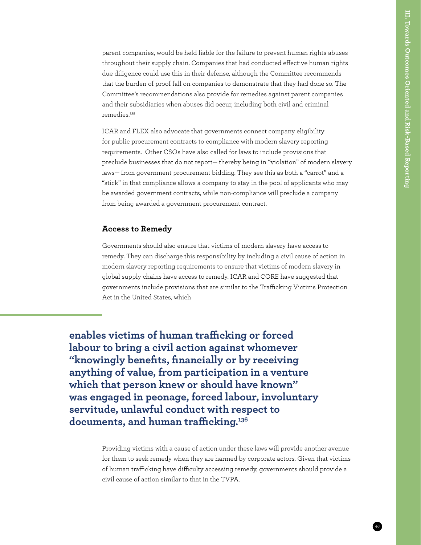parent companies, would be held liable for the failure to prevent human rights abuses throughout their supply chain. Companies that had conducted effective human rights due diligence could use this in their defense, although the Committee recommends that the burden of proof fall on companies to demonstrate that they had done so. The Committee's recommendations also provide for remedies against parent companies and their subsidiaries when abuses did occur, including both civil and criminal remedies.<sup>[135](#page--1-77)</sup>

ICAR and FLEX also advocate that governments connect company eligibility for public procurement contracts to compliance with modern slavery reporting requirements. Other CSOs have also called for laws to include provisions that preclude businesses that do not report— thereby being in "violation" of modern slavery laws— from government procurement bidding. They see this as both a "carrot" and a "stick" in that compliance allows a company to stay in the pool of applicants who may be awarded government contracts, while non-compliance will preclude a company from being awarded a government procurement contract.

#### **Access to Remedy**

Governments should also ensure that victims of modern slavery have access to remedy. They can discharge this responsibility by including a civil cause of action in modern slavery reporting requirements to ensure that victims of modern slavery in global supply chains have access to remedy. ICAR and CORE have suggested that governments include provisions that are similar to the Trafficking Victims Protection Act in the United States, which

**enables victims of human trafficking or forced labour to bring a civil action against whomever "knowingly benefits, financially or by receiving anything of value, from participation in a venture which that person knew or should have known" was engaged in peonage, forced labour, involuntar[y](#page--1-51)  servitude, unlawful conduct with respect to documents, and human trafficking.[136](#page--1-51)**

> Providing victims with a cause of action under these laws will provide another avenue for them to seek remedy when they are harmed by corporate actors. Given that victims of human trafficking have difficulty accessing remedy, governments should provide a civil cause of action similar to that in the TVPA.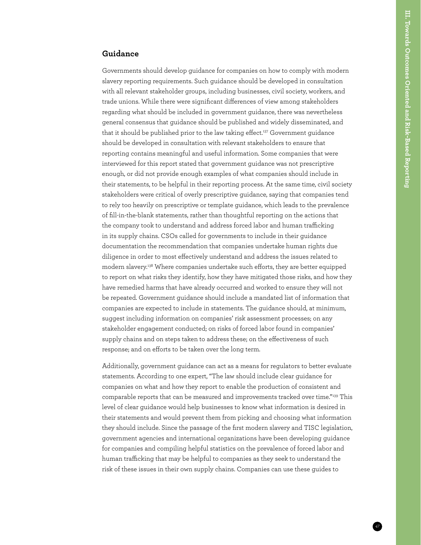#### **Guidance**

Governments should develop guidance for companies on how to comply with modern slavery reporting requirements. Such guidance should be developed in consultation with all relevant stakeholder groups, including businesses, civil society, workers, and trade unions. While there were significant differences of view among stakeholders regarding what should be included in government guidance, there was nevertheless general consensus that guidance should be published and widely disseminated, and that it should be published prior to the law taking effect.<sup>137</sup> Government guidance should be developed in consultation with relevant stakeholders to ensure that reporting contains meaningful and useful information. Some companies that were interviewed for this report stated that government guidance was not prescriptive enough, or did not provide enough examples of what companies should include in their statements, to be helpful in their reporting process. At the same time, civil society stakeholders were critical of overly prescriptive guidance, saying that companies tend to rely too heavily on prescriptive or template guidance, which leads to the prevalence of fill-in-the-blank statements, rather than thoughtful reporting on the actions that the company took to understand and address forced labor and human trafficking in its supply chains. CSOs called for governments to include in their guidance documentation the recommendation that companies undertake human rights due diligence in order to most effectively understand and address the issues related to modern slavery.[138](#page--1-79) Where companies undertake such efforts, they are better equipped to report on what risks they identify, how they have mitigated those risks, and how they have remedied harms that have already occurred and worked to ensure they will not be repeated. Government guidance should include a mandated list of information that companies are expected to include in statements. The guidance should, at minimum, suggest including information on companies' risk assessment processes; on any stakeholder engagement conducted; on risks of forced labor found in companies' supply chains and on steps taken to address these; on the effectiveness of such response; and on efforts to be taken over the long term.

Additionally, government guidance can act as a means for regulators to better evaluate statements. According to one expert, "The law should include clear guidance for companies on what and how they report to enable the production of consistent and comparable reports that can be measured and improvements tracked over time."[139](#page--1-68) This level of clear guidance would help businesses to know what information is desired in their statements and would prevent them from picking and choosing what information they should include. Since the passage of the first modern slavery and TISC legislation, government agencies and international organizations have been developing guidance for companies and compiling helpful statistics on the prevalence of forced labor and human trafficking that may be helpful to companies as they seek to understand the risk of these issues in their own supply chains. Companies can use these guides to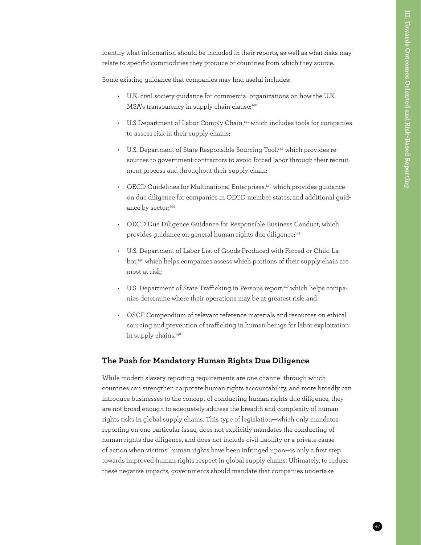identify what information should be included in their reports, as well as what risks may relate to specific commodities they produce or countries from which they source.

Some existing guidance that companies may find useful includes:

- U.K. civil society guidance for commercial organizations on how the U.K. MSA's transparency in supply chain clause;<sup>[140](#page--1-69)</sup>
- U.S Department of Labor Comply Chain,<sup>[141](#page--1-80)</sup> which includes tools for companies to assess risk in their supply chains;
- U.S. Department of State Responsible Sourcing Tool,<sup>142</sup> which provides resources to government contractors to avoid forced labor through their recruitment process and throughout their supply chain;
- OECD Guidelines for Multinational Enterprises,<sup>143</sup> which provides guidance on due diligence for companies in OECD member states, and additional guid-ance by sector;<sup>[144](#page--1-74)</sup>
- OECD Due Diligence Guidance for Responsible Business Conduct, which provides guidance on general human rights due diligence;<sup>145</sup>
- U.S. Department of Labor List of Goods Produced with Forced or Child Labor,<sup>146</sup> which helps companies assess which portions of their supply chain are most at risk;
- U.S. Department of State Trafficking in Persons report,<sup>147</sup> which helps companies determine where their operations may be at greatest risk; and
- OSCE Compendium of relevant reference materials and resources on ethical sourcing and prevention of trafficking in human beings for labor exploitation in supply chains.<sup>148</sup>

#### **The Push for Mandatory Human Rights Due Diligence**

While modern slavery reporting requirements are one channel through which countries can strengthen corporate human rights accountability, and more broadly can introduce businesses to the concept of conducting human rights due diligence, they are not broad enough to adequately address the breadth and complexity of human rights risks in global supply chains. This type of legislation—which only mandates reporting on one particular issue, does not explicitly mandates the conducting of human rights due diligence, and does not include civil liability or a private cause of action when victims' human rights have been infringed upon—is only a first step towards improved human rights respect in global supply chains. Ultimately, to reduce these negative impacts, governments should mandate that companies undertake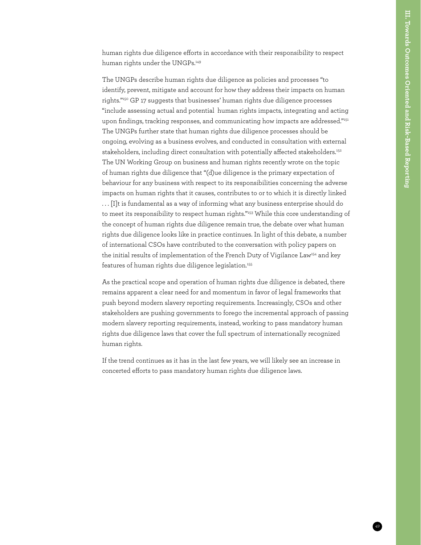human rights due diligence efforts in accordance with their responsibility to respect human rights under the UNGPs.<sup>149</sup>

The UNGPs describe human rights due diligence as policies and processes "to identify, prevent, mitigate and account for how they address their impacts on human rights."[150](#page--1-85) GP 17 suggests that businesses' human rights due diligence processes "include assessing actual and potential human rights impacts, integrating and acting upon findings, tracking responses, and communicating how impacts are addressed.["151](#page--1-86) The UNGPs further state that human rights due diligence processes should be ongoing, evolving as a business evolves, and conducted in consultation with external stakeholders, including direct consultation with potentially affected stakeholders.<sup>152</sup> The UN Working Group on business and human rights recently wrote on the topic of human rights due diligence that "(d)ue diligence is the primary expectation of behaviour for any business with respect to its responsibilities concerning the adverse impacts on human rights that it causes, contributes to or to which it is directly linked . . . [I]t is fundamental as a way of informing what any business enterprise should do to meet its responsibility to respect human rights."<sup>153</sup> While this core understanding of the concept of human rights due diligence remain true, the debate over what human rights due diligence looks like in practice continues. In light of this debate, a number of international CSOs have contributed to the conversation with policy papers on the initial results of implementation of the French Duty of Vigilance Law<sup>154</sup> and key features of human rights due diligence legislation.<sup>155</sup>

As the practical scope and operation of human rights due diligence is debated, there remains apparent a clear need for and momentum in favor of legal frameworks that push beyond modern slavery reporting requirements. Increasingly, CSOs and other stakeholders are pushing governments to forego the incremental approach of passing modern slavery reporting requirements, instead, working to pass mandatory human rights due diligence laws that cover the full spectrum of internationally recognized human rights.

If the trend continues as it has in the last few years, we will likely see an increase in concerted efforts to pass mandatory human rights due diligence laws.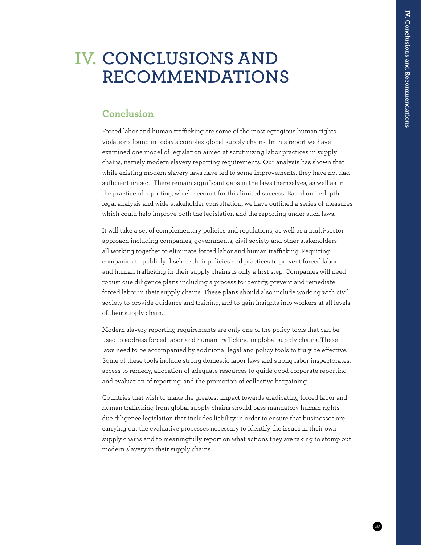## **CONCLUSIONS AND IV. RECOMMENDATIONS**

### **Conclusion**

Forced labor and human trafficking are some of the most egregious human rights violations found in today's complex global supply chains. In this report we have examined one model of legislation aimed at scrutinizing labor practices in supply chains, namely modern slavery reporting requirements. Our analysis has shown that while existing modern slavery laws have led to some improvements, they have not had sufficient impact. There remain significant gaps in the laws themselves, as well as in the practice of reporting, which account for this limited success. Based on in-depth legal analysis and wide stakeholder consultation, we have outlined a series of measures which could help improve both the legislation and the reporting under such laws.

It will take a set of complementary policies and regulations, as well as a multi-sector approach including companies, governments, civil society and other stakeholders all working together to eliminate forced labor and human trafficking. Requiring companies to publicly disclose their policies and practices to prevent forced labor and human trafficking in their supply chains is only a first step. Companies will need robust due diligence plans including a process to identify, prevent and remediate forced labor in their supply chains. These plans should also include working with civil society to provide guidance and training, and to gain insights into workers at all levels of their supply chain.

Modern slavery reporting requirements are only one of the policy tools that can be used to address forced labor and human trafficking in global supply chains. These laws need to be accompanied by additional legal and policy tools to truly be effective. Some of these tools include strong domestic labor laws and strong labor inspectorates, access to remedy, allocation of adequate resources to guide good corporate reporting and evaluation of reporting, and the promotion of collective bargaining.

Countries that wish to make the greatest impact towards eradicating forced labor and human trafficking from global supply chains should pass mandatory human rights due diligence legislation that includes liability in order to ensure that businesses are carrying out the evaluative processes necessary to identify the issues in their own supply chains and to meaningfully report on what actions they are taking to stomp out modern slavery in their supply chains.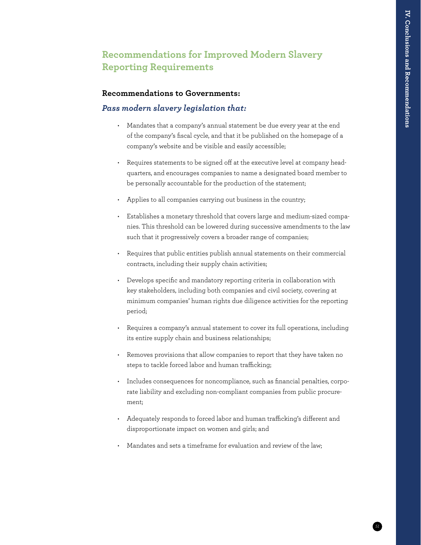## **Recommendations for Improved Modern Slavery Reporting Requirements**

#### **Recommendations to Governments:**

#### *Pass modern slavery legislation that:*

- Mandates that a company's annual statement be due every year at the end of the company's fiscal cycle, and that it be published on the homepage of a company's website and be visible and easily accessible;
- Requires statements to be signed off at the executive level at company headquarters, and encourages companies to name a designated board member to be personally accountable for the production of the statement;
- Applies to all companies carrying out business in the country;
- Establishes a monetary threshold that covers large and medium-sized companies. This threshold can be lowered during successive amendments to the law such that it progressively covers a broader range of companies;
- Requires that public entities publish annual statements on their commercial contracts, including their supply chain activities;
- Develops specific and mandatory reporting criteria in collaboration with key stakeholders, including both companies and civil society, covering at minimum companies' human rights due diligence activities for the reporting period;
- Requires a company's annual statement to cover its full operations, including its entire supply chain and business relationships;
- Removes provisions that allow companies to report that they have taken no steps to tackle forced labor and human trafficking;
- Includes consequences for noncompliance, such as financial penalties, corporate liability and excluding non-compliant companies from public procurement;
- Adequately responds to forced labor and human trafficking's different and disproportionate impact on women and girls; and
- Mandates and sets a timeframe for evaluation and review of the law: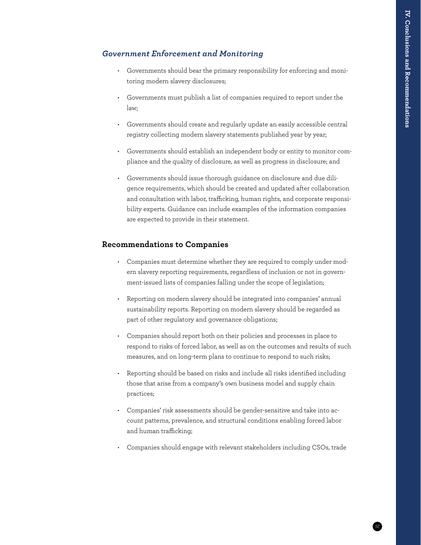#### *Government Enforcement and Monitoring*

- Governments should bear the primary responsibility for enforcing and monitoring modern slavery disclosures;
- Governments must publish a list of companies required to report under the law;
- Governments should create and regularly update an easily accessible central registry collecting modern slavery statements published year by year;
- Governments should establish an independent body or entity to monitor compliance and the quality of disclosure, as well as progress in disclosure; and
- Governments should issue thorough guidance on disclosure and due diligence requirements, which should be created and updated after collaboration and consultation with labor, trafficking, human rights, and corporate responsibility experts. Guidance can include examples of the information companies are expected to provide in their statement.

#### **Recommendations to Companies**

- Companies must determine whether they are required to comply under modern slavery reporting requirements, regardless of inclusion or not in government-issued lists of companies falling under the scope of legislation;
- Reporting on modern slavery should be integrated into companies' annual sustainability reports. Reporting on modern slavery should be regarded as part of other regulatory and governance obligations;
- Companies should report both on their policies and processes in place to respond to risks of forced labor, as well as on the outcomes and results of such measures, and on long-term plans to continue to respond to such risks;
- Reporting should be based on risks and include all risks identified including those that arise from a company's own business model and supply chain practices;
- Companies' risk assessments should be gender-sensitive and take into account patterns, prevalence, and structural conditions enabling forced labor and human trafficking;
- Companies should engage with relevant stakeholders including CSOs, trade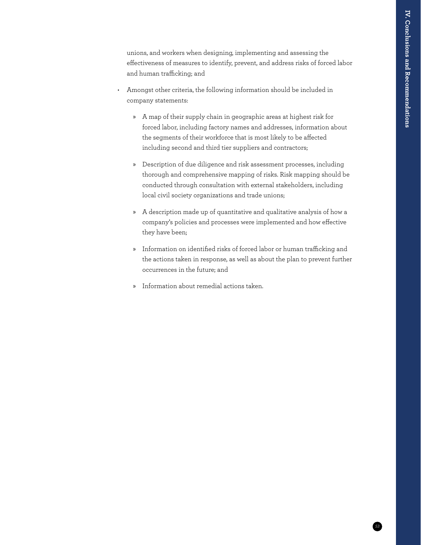unions, and workers when designing, implementing and assessing the effectiveness of measures to identify, prevent, and address risks of forced labor and human trafficking; and

- Amongst other criteria, the following information should be included in company statements:
	- » A map of their supply chain in geographic areas at highest risk for forced labor, including factory names and addresses, information about the segments of their workforce that is most likely to be affected including second and third tier suppliers and contractors;
	- » Description of due diligence and risk assessment processes, including thorough and comprehensive mapping of risks. Risk mapping should be conducted through consultation with external stakeholders, including local civil society organizations and trade unions;
	- » A description made up of quantitative and qualitative analysis of how a company's policies and processes were implemented and how effective they have been;
	- » Information on identified risks of forced labor or human trafficking and the actions taken in response, as well as about the plan to prevent further occurrences in the future; and
	- » Information about remedial actions taken.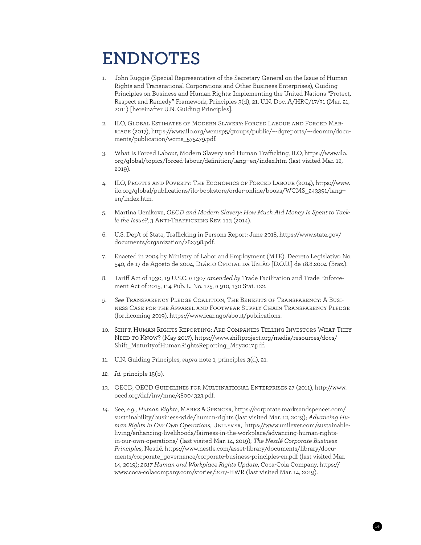## **ENDNOTES**

- 1. John Ruggie (Special Representative of the Secretary General on the Issue of Human Rights and Transnational Corporations and Other Business Enterprises), Guiding Principles on Business and Human Rights: Implementing the United Nations "Protect, Respect and Remedy" Framework, Principles 3(d), 21, U.N. Doc. A/HRC/17/31 (Mar. 21, 2011) [hereinafter U.N. Guiding Principles].
- 2. ILO, Global Estimates of Modern Slavery: Forced Labour and Forced Marriage (2017), [https://www.ilo.org/wcmsp5/groups/public/---dgreports/---dcomm/docu](https://www.ilo.org/wcmsp5/groups/public/---dgreports/---dcomm/documents/publication/wcms_575479.pdf)[ments/publication/wcms\\_575479.pdf](https://www.ilo.org/wcmsp5/groups/public/---dgreports/---dcomm/documents/publication/wcms_575479.pdf).
- 3. What Is Forced Labour, Modern Slavery and Human Trafficking, ILO, https://www.ilo. org/global/topics/forced-labour/definition/lang--en/index.htm (last visited Mar. 12, 2019).
- 4. ILO, Profits and Poverty: The Economics of Forced Labour (2014), [https://www.](https://www.ilo.org/global/publications/ilo-bookstore/order-online/books/WCMS_243391/lang--en/index.htm) [ilo.org/global/publications/ilo-bookstore/order-online/books/WCMS\\_243391/lang-](https://www.ilo.org/global/publications/ilo-bookstore/order-online/books/WCMS_243391/lang--en/index.htm) [en/index.htm.](https://www.ilo.org/global/publications/ilo-bookstore/order-online/books/WCMS_243391/lang--en/index.htm)
- 5. Martina Ucnikova, *OECD and Modern Slavery: How Much Aid Money Is Spent to Tackle the Issue?*, 3 Anti-Trafficking Rev. 133 (2014).
- 6. U.S. Dep't of State, Trafficking in Persons Report: June 2018, [https://www.state.gov/](https://www.state.gov/documents/organization/282798.pdf) [documents/organization/282798.pdf.](https://www.state.gov/documents/organization/282798.pdf)
- 7. Enacted in 2004 by Ministry of Labor and Employment (MTE). Decreto Legislativo No. 540, de 17 de Agosto de 2004, Diário Oficial da União [D.O.U.] de 18.8.2004 (Braz.).
- 8. Tariff Act of 1930, 19 U.S.C. § 1307 *amended by* Trade Facilitation and Trade Enforcement Act of 2015, 114 Pub. L. No. 125, § 910, 130 Stat. 122.
- *9. See* Transparency Pledge Coalition, The Benefits of Transparency: A Business Case for the Apparel and Footwear Supply Chain Transparency Pledge (forthcoming 2019), <https://www.icar.ngo/about/publications>.
- 10. Shift, Human Rights Reporting: Are Companies Telling Investors What They Need to Know? (May 2017), [https://www.shiftproject.org/media/resources/docs/](https://www.shiftproject.org/media/resources/docs/Shift_MaturityofHumanRightsReporting_May2017.pdf) [Shift\\_MaturityofHumanRightsReporting\\_May2017.pdf.](https://www.shiftproject.org/media/resources/docs/Shift_MaturityofHumanRightsReporting_May2017.pdf)
- 11. U.N. Guiding Principles, *supra* note 1, principles 3(d), 21.
- *12. Id.* principle 15(b)*.*
- 13. OECD, OECD Guidelines for Multinational Enterprises 27 (2011), [http://www.](http://www.oecd.org/daf/inv/mne/48004323.pdf) [oecd.org/daf/inv/mne/48004323.pdf.](http://www.oecd.org/daf/inv/mne/48004323.pdf)
- *14. See, e.g.*, *Human Rights*, Marks & Spencer, [https://corporate.marksandspencer.com/](https://corporate.marksandspencer.com/sustainability/business-wide/human-rights) [sustainability/business-wide/human-rights](https://corporate.marksandspencer.com/sustainability/business-wide/human-rights) (last visited Mar. 12, 2019); *Advancing Human Rights In Our Own Operations*, Unilever, [https://www.unilever.com/sustainable](https://www.unilever.com/sustainable-living/enhancing-livelihoods/fairness-in-the-workplace/advancing-human-rights-in-our-own-operations/)[living/enhancing-livelihoods/fairness-in-the-workplace/advancing-human-rights](https://www.unilever.com/sustainable-living/enhancing-livelihoods/fairness-in-the-workplace/advancing-human-rights-in-our-own-operations/)[in-our-own-operations/](https://www.unilever.com/sustainable-living/enhancing-livelihoods/fairness-in-the-workplace/advancing-human-rights-in-our-own-operations/) (last visited Mar. 14, 2019); *The Nestlé Corporate Business Principles*, Nestlé, [https://www.nestle.com/asset-library/documents/library/docu](https://www.nestle.com/asset-library/documents/library/documents/corporate_governance/corporate-business-principles-en.pdf)[ments/corporate\\_governance/corporate-business-principles-en.pdf](https://www.nestle.com/asset-library/documents/library/documents/corporate_governance/corporate-business-principles-en.pdf) (last visited Mar. 14, 2019); *2017 Human and Workplace Rights Update*, Coca-Cola Company, [https://](https://www.coca-colacompany.com/stories/2017-HWR) [www.coca-colacompany.com/stories/2017-HWR](https://www.coca-colacompany.com/stories/2017-HWR) (last visited Mar. 14, 2019).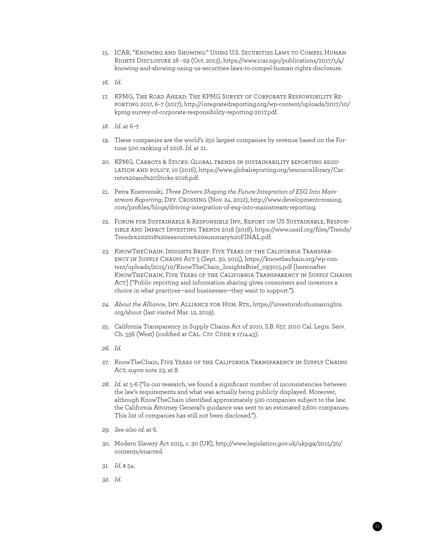- 15. ICAR, "Knowing and Showing:" Using U.S. Securities Laws to Compel Human Rights Disclosure 28 –29 (Oct. 2013), [https://www.icar.ngo/publications/2017/1/4/](https://www.icar.ngo/publications/2017/1/4/knowing-and-showing-using-us-securities-laws-to-compel-human-rights-disclosure) [knowing-and-showing-using-us-securities-laws-to-compel-human-rights-disclosure.](https://www.icar.ngo/publications/2017/1/4/knowing-and-showing-using-us-securities-laws-to-compel-human-rights-disclosure)
- *16. Id*.
- 17. KPMG, The Road Ahead: The KPMG Survey of Corporate Responsibility Reporting 2017, 6–7 (2017), [http://integratedreporting.org/wp-content/uploads/2017/10/](http://integratedreporting.org/wp-content/uploads/2017/10/kpmg-survey-of-corporate-responsibility-reporting-2017.pdf) [kpmg-survey-of-corporate-responsibility-reporting-2017.pdf](http://integratedreporting.org/wp-content/uploads/2017/10/kpmg-survey-of-corporate-responsibility-reporting-2017.pdf).
- *18. Id.* at 6–7.
- 19. These companies are the world's 250 largest companies by revenue based on the Fortune 500 ranking of 2016. *Id.* at 21.
- 20. KPMG, Carrots & Sticks: Global trends in sustainability reporting regulation and policy, 10 (2016), [https://www.globalreporting.org/resourcelibrary/Car](https://www.globalreporting.org/resourcelibrary/Carrots%20and%20Sticks-2016.pdf)[rots%20and%20Sticks-2016.pdf](https://www.globalreporting.org/resourcelibrary/Carrots%20and%20Sticks-2016.pdf).
- 21. Petra Koenvenski, *Three Drivers Shaping the Future Integration of ESG Into Mainstream Reporting*, Dev. Crossing (Nov. 24, 2012), [http://www.developmentcrossing.](http://www.developmentcrossing.com/profiles/blogs/driving-integration-of-esg-into-mainstream-reporting) [com/profiles/blogs/driving-integration-of-esg-into-mainstream-reporting](http://www.developmentcrossing.com/profiles/blogs/driving-integration-of-esg-into-mainstream-reporting).
- 22. Forum for Sustainable & Responsible Inv., Report on US Sustainable, Responsible and Impact Investing Trends 2018 (2018), [https://www.ussif.org/files/Trends/](https://www.ussif.org/files/Trends/Trends%202018%20executive%20summary%20FINAL.pdf) [Trends%202018%20executive%20summary%20FINAL.pdf](https://www.ussif.org/files/Trends/Trends%202018%20executive%20summary%20FINAL.pdf).
- 23. KnowTheChain, Insights Brief: Five Years of the California Transparency in Supply Chains Act 5 (Sept. 30, 2015), https://knowthechain.org/wp-content/uploads/2015/10/KnowTheChain\_InsightsBrief\_093015.pdf [hereinafter KnowTheChain, Five Years of the California Transparency in Supply Chains Act] ("Public reporting and information sharing gives consumers and investors a choice in what practices—and businesses—they want to support.").
- *24. About the Alliance*, Inv. Alliance for Hum. Rts., https://investorsforhumanrights. org/about (last visited Mar. 12, 2019).
- 25. California Transparency in Supply Chains Act of 2010, S.B. 657, 2010 Cal. Legis. Serv. Ch. 556 (West) (codified at CAL. CIV. CODE § 1714.43).
- *26. Id.*
- 27. KnowTheChain, Five Years of the California Transparency in Supply Chains Act, *supra* note 23, at 8.
- *28. Id.* at 5-6 ("In our research, we found a significant number of inconsistencies between the law's requirements and what was actually being publicly displayed. Moreover, although KnowTheChain identified approximately 500 companies subject to the law, the California Attorney General's guidance was sent to an estimated 2,600 companies. This list of companies has still not been disclosed.").
- *29. See also id.* at 6.
- 30. Modern Slavery Act 2015, c. 30 (UK), http://www.legislation.gov.uk/ukpga/2015/30/ contents/enacted.

- *31. Id.* § 54.
- *32. Id.*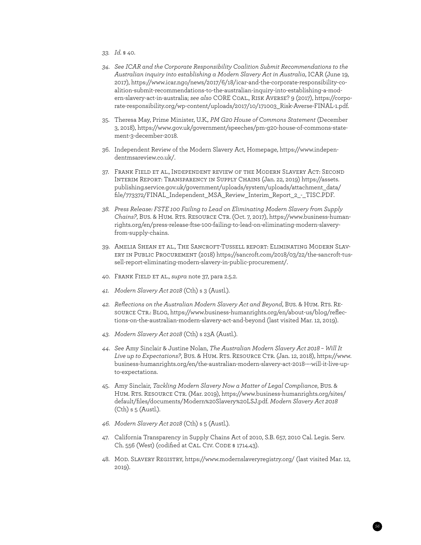- *33. Id.* § 40.
- *34. See ICAR and the Corporate Responsibility Coalition Submit Recommendations to the Australian inquiry into establishing a Modern Slavery Act in Australia*, ICAR (June 19, 2017), [https://www.icar.ngo/news/2017/6/18/icar-and-the-corporate-responsibility-co](https://www.icar.ngo/news/2017/6/18/icar-and-the-corporate-responsibility-coalition-submit-recommendations-to-the-australian-inquiry-into-establishing-a-modern-slavery-act-in-australia?rq=ICAR%20CORE)[alition-submit-recommendations-to-the-australian-inquiry-into-establishing-a-mod](https://www.icar.ngo/news/2017/6/18/icar-and-the-corporate-responsibility-coalition-submit-recommendations-to-the-australian-inquiry-into-establishing-a-modern-slavery-act-in-australia?rq=ICAR%20CORE)[ern-slavery-act-in-australia;](https://www.icar.ngo/news/2017/6/18/icar-and-the-corporate-responsibility-coalition-submit-recommendations-to-the-australian-inquiry-into-establishing-a-modern-slavery-act-in-australia?rq=ICAR%20CORE) *see also* CORE Coal., Risk Averse? 9 (2017), [https://corpo](https://corporate-responsibility.org/wp-content/uploads/2017/10/171003_Risk-Averse-FINAL-1.pdf)[rate-responsibility.org/wp-content/uploads/2017/10/171003\\_Risk-Averse-FINAL-1.pdf.](https://corporate-responsibility.org/wp-content/uploads/2017/10/171003_Risk-Averse-FINAL-1.pdf)
- 35. Theresa May, Prime Minister, U.K*., PM G20 House of Commons Statement* (December 3, 2018), https://www.gov.uk/government/speeches/pm-g20-house-of-commons-statement-3-december-2018.
- 36. Independent Review of the Modern Slavery Act, Homepage, [https://www.indepen](https://www.independentmsareview.co.uk/)[dentmsareview.co.uk/.](https://www.independentmsareview.co.uk/)
- 37. Frank Field et al., Independent review of the Modern Slavery Act: Second Interim Report: Transparency in Supply Chains (Jan. 22, 2019) [https://assets.](https://assets.publishing.service.gov.uk/government/uploads/system/uploads/attachment_data/file/773372/FINAL_Independent_MSA_Review_Interim_Report_2_-_TISC.PDF) [publishing.service.gov.uk/government/uploads/system/uploads/attachment\\_data/](https://assets.publishing.service.gov.uk/government/uploads/system/uploads/attachment_data/file/773372/FINAL_Independent_MSA_Review_Interim_Report_2_-_TISC.PDF) [file/773372/FINAL\\_Independent\\_MSA\\_Review\\_Interim\\_Report\\_2\\_-\\_TISC.PDF](https://assets.publishing.service.gov.uk/government/uploads/system/uploads/attachment_data/file/773372/FINAL_Independent_MSA_Review_Interim_Report_2_-_TISC.PDF).
- *38. Press Release: FSTE 100 Failing to Lead on Eliminating Modern Slavery from Supply Chains?*, Bus. & Hum. Rts. Resource Ctr. (Oct. 7, 2017), [https://www.business-human](https://www.business-humanrights.org/en/press-release-ftse-100-failing-to-lead-on-eliminating-modern-slavery-from-supply-chains)[rights.org/en/press-release-ftse-100-failing-to-lead-on-eliminating-modern-slavery](https://www.business-humanrights.org/en/press-release-ftse-100-failing-to-lead-on-eliminating-modern-slavery-from-supply-chains)[from-supply-chains.](https://www.business-humanrights.org/en/press-release-ftse-100-failing-to-lead-on-eliminating-modern-slavery-from-supply-chains)
- 39. Amelia Shean et al., The Sancroft-Tussell report: Eliminating Modern Slavery in Public Procurement (2018) [https://sancroft.com/2018/03/22/the-sancroft-tus](https://sancroft.com/2018/03/22/the-sancroft-tussell-report-eliminating-modern-slavery-in-public-procurement/)[sell-report-eliminating-modern-slavery-in-public-procurement/](https://sancroft.com/2018/03/22/the-sancroft-tussell-report-eliminating-modern-slavery-in-public-procurement/).
- 40. Frank Field et al., *supra* note 37, para 2.5.2.
- *41. Modern Slavery Act 2018* (Cth) s 3 (Austl.).
- *42. Reflections on the Australian Modern Slavery Act and Beyond*, Bus. & Hum. Rts. Resource Ctr.: Blog, https://www.business-humanrights.org/en/about-us/blog/reflections-on-the-australian-modern-slavery-act-and-beyond (last visited Mar. 12, 2019).
- *43. Modern Slavery Act 2018* (Cth) s 23A (Austl.).
- *44. See* Amy Sinclair & Justine Nolan, *The Australian Modern Slavery Act 2018 Will It Live up to Expectations?*, Bus. & Hum. Rts. Resource Ctr. (Jan. 12, 2018), https://www. business-humanrights.org/en/the-australian-modern-slavery-act-2018-–-will-it-live-upto-expectations.
- 45. Amy Sinclair, *Tackling Modern Slavery Now a Matter of Legal Compliance*, Bus. & HUM. RTS. RESOURCE CTR. (Mar. 2019), https://www.business-humanrights.org/sites/ default/files/documents/Modern%20Slavery%20LSJ.pdf. *Modern Slavery Act 2018* (Cth) s 5 (Austl.).
- *46. Modern Slavery Act 2018* (Cth) s 5 (Austl.).
- 47. California Transparency in Supply Chains Act of 2010, S.B. 657, 2010 Cal. Legis. Serv. Ch. 556 (West) (codified at CAL. CIV. CODE § 1714.43).
- 48. Mod. Slavery Registry, https://www.modernslaveryregistry.org/ (last visited Mar. 12, 2019).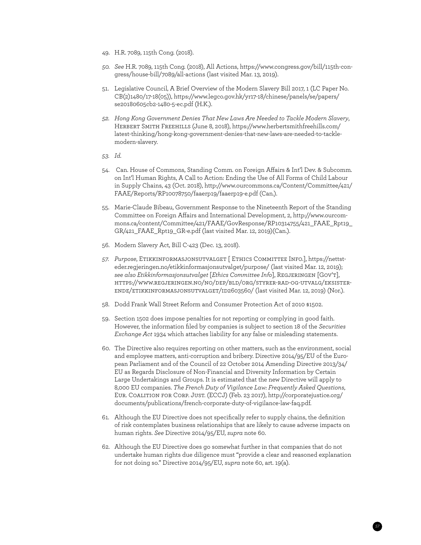- 49. H.R. 7089, 115th Cong. (2018).
- *50. See* H.R. 7089, 115th Cong. (2018), All Actions, https://www.congress.gov/bill/115th-congress/house-bill/7089/all-actions (last visited Mar. 13, 2019).
- 51. Legislative Council, A Brief Overview of the Modern Slavery Bill 2017, 1 (LC Paper No. CB(2)1480/17-18(05)), https://www.legco.gov.hk/yr17-18/chinese/panels/se/papers/ se20180605cb2-1480-5-ec.pdf (H.K.).
- *52. Hong Kong Government Denies That New Laws Are Needed to Tackle Modern Slavery*, Herbert Smith Freehills (June 8, 2018), [https://www.herbertsmithfreehills.com/](https://www.herbertsmithfreehills.com/latest-thinking/hong-kong-government-denies-that-new-laws-are-needed-to-tackle-modern-slavery) [latest-thinking/hong-kong-government-denies-that-new-laws-are-needed-to-tackle](https://www.herbertsmithfreehills.com/latest-thinking/hong-kong-government-denies-that-new-laws-are-needed-to-tackle-modern-slavery)[modern-slavery.](https://www.herbertsmithfreehills.com/latest-thinking/hong-kong-government-denies-that-new-laws-are-needed-to-tackle-modern-slavery)
- *53. Id.*
- 54. Can. House of Commons, Standing Comm. on Foreign Affairs & Int'l Dev. & Subcomm. on Int'l Human Rights, A Call to Action: Ending the Use of All Forms of Child Labour in Supply Chains, 43 (Oct. 2018), http://www.ourcommons.ca/Content/Committee/421/ FAAE/Reports/RP10078750/faaerp19/faaerp19-e.pdf (Can.).
- 55. Marie-Claude Bibeau, Government Response to the Nineteenth Report of the Standing Committee on Foreign Affairs and International Development, 2, http://www.ourcommons.ca/content/Committee/421/FAAE/GovResponse/RP10314755/421\_FAAE\_Rpt19\_ GR/421\_FAAE\_Rpt19\_GR-e.pdf (last visited Mar. 12, 2019)(Can.).
- 56. Modern Slavery Act, Bill C-423 (Dec. 13, 2018).
- *57. Purpose*, Etikkinformasjonsutvalget [ Ethics Committee Info.], https://nettsteder.regjeringen.no/etikkinformasjonsutvalget/purpose/ (last visited Mar. 12, 2019); *see also Etikkinformasjonsutvalget* [*Ethics Committee Info*], Regjeringen [Gov't], [https://www.regjeringen.no/no/dep/bld/org/styrer-rad-og-utvalg/eksister](https://www.regjeringen.no/no/dep/bld/org/styrer-rad-og-utvalg/eksisterende/etikkinformasjonsutvalget/id2603560/)[ende/etikkinformasjonsutvalget/id2603560/](https://www.regjeringen.no/no/dep/bld/org/styrer-rad-og-utvalg/eksisterende/etikkinformasjonsutvalget/id2603560/) (last visited Mar. 12, 2019) (Nor.).
- 58. Dodd Frank Wall Street Reform and Consumer Protection Act of 2010 §1502.
- 59. Section 1502 does impose penalties for not reporting or complying in good faith. However, the information filed by companies is subject to section 18 of the *Securities Exchange Act* 1934 which attaches liability for any false or misleading statements.
- 60. The Directive also requires reporting on other matters, such as the environment, social and employee matters, anti-corruption and bribery. Directive 2014/95/EU of the European Parliament and of the Council of 22 October 2014 Amending Directive 2013/34/ EU as Regards Disclosure of Non-Financial and Diversity Information by Certain Large Undertakings and Groups. It is estimated that the new Directive will apply to 8,000 EU companies. *The French Duty of Vigilance Law: Frequently Asked Questions*, Eur. Coalition for Corp. Just. (ECCJ) (Feb. 23 2017), http://corporatejustice.org/ documents/publications/french-corporate-duty-of-vigilance-law-faq.pdf.
- 61. Although the EU Directive does not specifically refer to supply chains, the definition of risk contemplates business relationships that are likely to cause adverse impacts on human rights. *See* Directive 2014/95/EU, *supra* note 60.
- 62. Although the EU Directive does go somewhat further in that companies that do not undertake human rights due diligence must "provide a clear and reasoned explanation for not doing so." Directive 2014/95/EU, *supra* note 60, art. 19(a).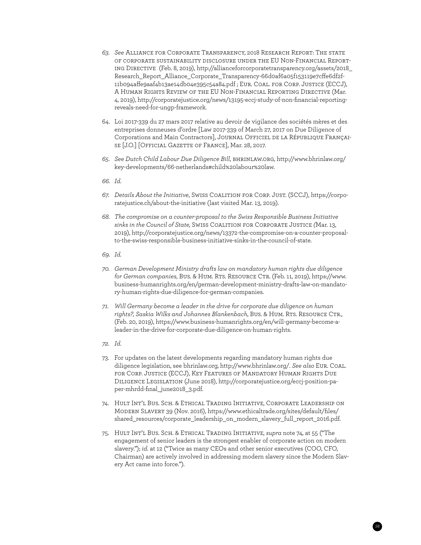- *63. See* Alliance for Corporate Transparency, 2018 Research Report: The state of corporate sustainability disclosure under the EU Non-Financial Reporting Directive (Feb. 8, 2019), http://allianceforcorporatetransparency.org/assets/2018\_ Research\_Report\_Alliance\_Corporate\_Transparency-66d0af6a05f153119e7cffe6df2f-11b094affe9aaf4b13ae14db04e395c54a84.pdf ; Eur. Coal. for Corp. Justice (ECCJ), A Human Rights Review of the EU Non-Financial Reporting Directive (Mar. 4, 2019), http://corporatejustice.org/news/13195-eccj-study-of-non-financial-reportingreveals-need-for-ungp-framework.
- 64. Loi 2017-339 du 27 mars 2017 relative au devoir de vigilance des sociétés mères et des entreprises donneuses d'ordre [Law 2017-339 of March 27, 2017 on Due Diligence of Corporations and Main Contractors], Journal Officiel de la République Française [J.O.] [Official Gazette of France], Mar. 28, 2017.
- *65. See Dutch Child Labour Due Diligence Bill*, bhrinlaw.org, http://www.bhrinlaw.org/ key-developments/66-netherlands#child%20labour%20law.
- *66. Id.*
- *67. Details About the Initiative*, Swiss Coalition for Corp. Just. (SCCJ), https://corporatejustice.ch/about-the-initiative (last visited Mar. 13, 2019).
- *68. The compromise on a counter-proposal to the Swiss Responsible Business Initiative sinks in the Council of State,* Swiss Coalition for Corporate Justice *(*Mar. 13, 2019), [http://corporatejustice.org/news/13372-the-compromise-on-a-counter-proposal](http://corporatejustice.org/news/13372-the-compromise-on-a-counter-proposal-to-the-swiss-responsible-business-initiative-sinks-in-the-council-of-state)[to-the-swiss-responsible-business-initiative-sinks-in-the-council-of-state.](http://corporatejustice.org/news/13372-the-compromise-on-a-counter-proposal-to-the-swiss-responsible-business-initiative-sinks-in-the-council-of-state)
- *69. Id.*
- *70. German Development Ministry drafts law on mandatory human rights due diligence for German companies*, Bus. & Hum. Rts. Resource Ctr. (Feb. 11, 2019), [https://www.](https://www.business-humanrights.org/en/german-development-ministry-drafts-law-on-mandatory-human-rights-due-diligence-for-german-companies) [business-humanrights.org/en/german-development-ministry-drafts-law-on-mandato](https://www.business-humanrights.org/en/german-development-ministry-drafts-law-on-mandatory-human-rights-due-diligence-for-german-companies)[ry-human-rights-due-diligence-for-german-companies](https://www.business-humanrights.org/en/german-development-ministry-drafts-law-on-mandatory-human-rights-due-diligence-for-german-companies).
- *71. Will Germany become a leader in the drive for corporate due diligence on human*  rights?, Saskia Wilks and Johannes Blankenbach, Bus. & Hum. RTS. RESOURCE CTR., (Feb. 20, 2019), [https://www.business-humanrights.org/en/will-germany-become-a](https://www.business-humanrights.org/en/will-germany-become-a-leader-in-the-drive-for-corporate-due-diligence-on-human-rights)[leader-in-the-drive-for-corporate-due-diligence-on-human-rights](https://www.business-humanrights.org/en/will-germany-become-a-leader-in-the-drive-for-corporate-due-diligence-on-human-rights).
- *72. Id.*
- 73. For updates on the latest developments regarding mandatory human rights due diligence legislation, see bhrinlaw.org, [http://www.bhrinlaw.org/.](http://www.bhrinlaw.org/) *See also* Eur. Coal. for Corp. Justice (ECCJ), Key Features of Mandatory Human Rights Due Diligence Legislation (June 2018), [http://corporatejustice.org/eccj-position-pa](http://corporatejustice.org/eccj-position-paper-mhrdd-final_june2018_3.pdf)[per-mhrdd-final\\_june2018\\_3.pdf.](http://corporatejustice.org/eccj-position-paper-mhrdd-final_june2018_3.pdf)
- 74. Hult Int'l Bus. Sch. & Ethical Trading Initiative, Corporate Leadership on Modern Slavery 39 (Nov. 2016), [https://www.ethicaltrade.org/sites/default/files/](https://www.ethicaltrade.org/sites/default/files/shared_resources/corporate_leadership_on_modern_slavery_full_report_2016.pdf) [shared\\_resources/corporate\\_leadership\\_on\\_modern\\_slavery\\_full\\_report\\_2016.pdf](https://www.ethicaltrade.org/sites/default/files/shared_resources/corporate_leadership_on_modern_slavery_full_report_2016.pdf).
- 75. Hult Int'l Bus. Sch. & Ethical Trading Initiative, *supra* note 74, at 55 ("The engagement of senior leaders is the strongest enabler of corporate action on modern slavery."); *id.* at 12 ("Twice as many CEOs and other senior executives (COO, CFO, Chairman) are actively involved in addressing modern slavery since the Modern Slavery Act came into force.").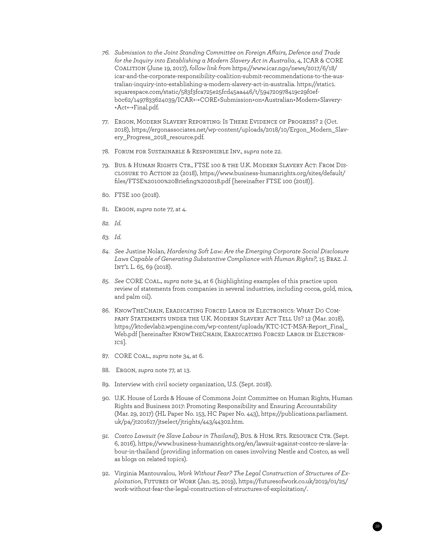- *76. Submission to the Joint Standing Committee on Foreign Affairs, Defence and Trade for the Inquiry into Establishing a Modern Slavery Act in Australia*, 4, ICAR & CORE Coalition (June 19, 2017), *follow link from* https://www.icar.ngo/news/2017/6/18/ icar-and-the-corporate-responsibility-coalition-submit-recommendations-to-the-australian-inquiry-into-establishing-a-modern-slavery-act-in-australia. [https://static1.](https://static1.squarespace.com/static/583f3fca725e25fcd45aa446/t/594720978419c29f0efb0c62/1497833624039/ICAR+-+CORE+Submission+on+Australian+Modern+Slavery+Act+-+Final.pdf) [squarespace.com/static/583f3fca725e25fcd45aa446/t/594720978419c29f0ef](https://static1.squarespace.com/static/583f3fca725e25fcd45aa446/t/594720978419c29f0efb0c62/1497833624039/ICAR+-+CORE+Submission+on+Australian+Modern+Slavery+Act+-+Final.pdf)[b0c62/1497833624039/ICAR+-+CORE+Submission+on+Australian+Modern+Slavery-](https://static1.squarespace.com/static/583f3fca725e25fcd45aa446/t/594720978419c29f0efb0c62/1497833624039/ICAR+-+CORE+Submission+on+Australian+Modern+Slavery+Act+-+Final.pdf) [+Act+-+Final.pdf.](https://static1.squarespace.com/static/583f3fca725e25fcd45aa446/t/594720978419c29f0efb0c62/1497833624039/ICAR+-+CORE+Submission+on+Australian+Modern+Slavery+Act+-+Final.pdf)
- 77. Ergon, Modern Slavery Reporting: Is There Evidence of Progress? 2 (Oct. 2018), [https://ergonassociates.net/wp-content/uploads/2018/10/Ergon\\_Modern\\_Slav](https://ergonassociates.net/wp-content/uploads/2018/10/Ergon_Modern_Slavery_Progress_2018_resource.pdf)ery Progress 2018 resource.pdf.
- 78. Forum for Sustainable & Responsible Inv., *supra* note 22.
- 79. Bus. & Human Rights Ctr., FTSE 100 & the U.K. Modern Slavery Act: From Disclosure to Action 22 (2018), [https://www.business-humanrights.org/sites/default/](https://www.business-humanrights.org/sites/default/files/FTSE%20100%20Briefing%202018.pdf) [files/FTSE%20100%20Briefing%202018.pdf](https://www.business-humanrights.org/sites/default/files/FTSE%20100%20Briefing%202018.pdf) [hereinafter FTSE 100 (2018)].
- 80. FTSE 100 (2018).
- 81. Ergon, *supra* note 77, at 4.
- *82. Id.*
- *83. Id.*
- *84. See* Justine Nolan, *Hardening Soft Law: Are the Emerging Corporate Social Disclosure Laws Capable of Generating Substantive Compliance with Human Rights?*, 15 Braz. J. Int'l L. 65, 69 (2018).
- *85. See* CORE Coal., *supra* note 34, at 6 (highlighting examples of this practice upon review of statements from companies in several industries, including cocoa, gold, mica, and palm oil).
- 86. KnowTheChain, Eradicating Forced Labor in Electronics: What Do Company Statements under the U.K. Modern Slavery Act Tell Us? 12 (Mar. 2018), [https://ktcdevlab2.wpengine.com/wp-content/uploads/KTC-ICT-MSA-Report\\_Final\\_](https://ktcdevlab2.wpengine.com/wp-content/uploads/KTC-ICT-MSA-Report_Final_Web.pdf) [Web.pdf](https://ktcdevlab2.wpengine.com/wp-content/uploads/KTC-ICT-MSA-Report_Final_Web.pdf) [hereinafter KNOWTHECHAIN, ERADICATING FORCED LABOR IN ELECTRONics].
- 87. CORE Coal., *supra* note 34, at 6.
- 88. Ergon, *supra* note 77, at 13.
- 89. Interview with civil society organization, U.S. (Sept. 2018).
- 90. U.K. House of Lords & House of Commons Joint Committee on Human Rights, Human Rights and Business 2017: Promoting Responsibility and Ensuring Accountability (Mar. 29, 2017) (HL Paper No. 153, HC Paper No. 443), [https://publications.parliament.](https://publications.parliament.uk/pa/jt201617/jtselect/jtrights/443/44302.htm) [uk/pa/jt201617/jtselect/jtrights/443/44302.htm](https://publications.parliament.uk/pa/jt201617/jtselect/jtrights/443/44302.htm).
- *91. Costco Lawsuit (re Slave Labour in Thailand)*, Bus. & Hum. Rts. Resource Ctr. (Sept. 6, 2016), https://www.business-humanrights.org/en/lawsuit-against-costco-re-slave-labour-in-thailand (providing information on cases involving Nestle and Costco, as well as blogs on related topics).
- 92. Virginia Mantouvalou, *Work Without Fear? The Legal Construction of Structures of Exploitation*, Futures of Work (Jan. 25, 2019), [https://futuresofwork.co.uk/2019/01/25/](https://futuresofwork.co.uk/2019/01/25/work-without-fear-the-legal-construction-of-structures-of-exploitation/) [work-without-fear-the-legal-construction-of-structures-of-exploitation/](https://futuresofwork.co.uk/2019/01/25/work-without-fear-the-legal-construction-of-structures-of-exploitation/).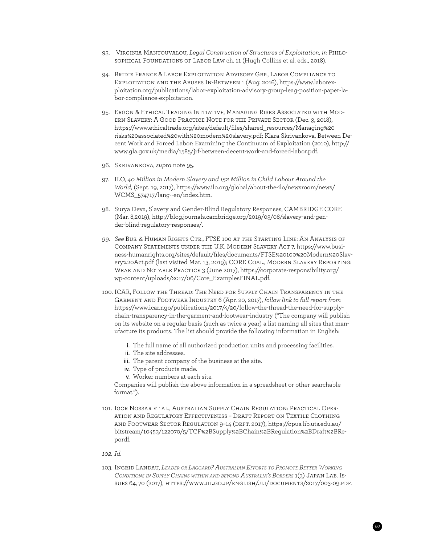- 93. Virginia Mantouvalou, *Legal Construction of Structures of Exploitation*, *in* Philosophical Foundations of Labor Law ch. 11 (Hugh Collins et al. eds., 2018).
- 94. Bridie France & Labor Exploitation Advisory Grp., Labor Compliance to Exploitation and the Abuses In-Between 1 (Aug. 2016), [https://www.laborex](https://www.labourexploitation.org/publications/labour-exploitation-advisory-group-leag-position-paper-labour-compliance-exploitation)[ploitation.org/publications/labor-exploitation-advisory-group-leag-position-paper-la](https://www.labourexploitation.org/publications/labour-exploitation-advisory-group-leag-position-paper-labour-compliance-exploitation)[bor-compliance-exploitation.](https://www.labourexploitation.org/publications/labour-exploitation-advisory-group-leag-position-paper-labour-compliance-exploitation)
- 95. Ergon & Ethical Trading Initiative, Managing Risks Associated with Modern Slavery: A Good Practice Note for the Private Sector (Dec. 3, 2018), [https://www.ethicaltrade.org/sites/default/files/shared\\_resources/Managing%20](https://www.ethicaltrade.org/sites/default/files/shared_resources/Managing%20risks%20associated%20with%20modern%20slavery.pdf) [risks%20associated%20with%20modern%20slavery.pdf;](https://www.ethicaltrade.org/sites/default/files/shared_resources/Managing%20risks%20associated%20with%20modern%20slavery.pdf) Klara Skrivankova, Between Decent Work and Forced Labor: Examining the Continuum of Exploitation (2010), [http://](http://www.gla.gov.uk/media/1585/jrf-between-decent-work-and-forced-labour.pdf) [www.gla.gov.uk/media/1585/jrf-between-decent-work-and-forced-labor.pdf](http://www.gla.gov.uk/media/1585/jrf-between-decent-work-and-forced-labour.pdf).
- 96. Skrivankova, *supra* note 95.
- 97. ILO, *40 Million in Modern Slavery and 152 Million in Child Labour Around the World*, (Sept. 19, 2017), [https://www.ilo.org/global/about-the-ilo/newsroom/news/](https://www.ilo.org/global/about-the-ilo/newsroom/news/WCMS_574717/lang--en/index.htm) [WCMS\\_574717/lang--en/index.htm](https://www.ilo.org/global/about-the-ilo/newsroom/news/WCMS_574717/lang--en/index.htm).
- 98. Surya Deva, Slavery and Gender-Blind Regulatory Responses, CAMBRIDGE CORE (Mar. 8,2019), [http://blog.journals.cambridge.org/2019/03/08/slavery-and-gen](http://blog.journals.cambridge.org/2019/03/08/slavery-and-gender-blind-regulatory-responses/)[der-blind-regulatory-responses/.](http://blog.journals.cambridge.org/2019/03/08/slavery-and-gender-blind-regulatory-responses/)
- *99. See* Bus. & Human Rights Ctr., FTSE 100 at the Starting Line: An Analysis of Company Statements under the U.K. Modern Slavery Act 7, https://www.business-humanrights.org/sites/default/files/documents/FTSE%20100%20Modern%20Slavery%20Act.pdf (last visited Mar. 13, 2019); CORE COAL., MODERN SLAVERY REPORTING: Weak and Notable Practice 3 (June 2017), [https://corporate-responsibility.org/](https://corporate-responsibility.org/wp-content/uploads/2017/06/Core_ExamplesFINAL.pdf) [wp-content/uploads/2017/06/Core\\_ExamplesFINAL.pdf.](https://corporate-responsibility.org/wp-content/uploads/2017/06/Core_ExamplesFINAL.pdf)
- 100. ICAR, Follow the Thread: The Need for Supply Chain Transparency in the Garment and Footwear Industry 6 (Apr. 20, 2017), *follow link to full report from*  https://www.icar.ngo/publications/2017/4/20/follow-the-thread-the-need-for-supplychain-transparency-in-the-garment-and-footwear-industry ("The company will publish on its website on a regular basis (such as twice a year) a list naming all sites that manufacture its products. The list should provide the following information in English:
	- i. The full name of all authorized production units and processing facilities.
	- ii. The site addresses.
	- iii. The parent company of the business at the site.
	- iv. Type of products made.
	- v. Worker numbers at each site.

 Companies will publish the above information in a spreadsheet or other searchable format.").

- 101. Igor Nossar et al., Australian Supply Chain Regulation: Practical Operation and Regulatory Effectiveness – Draft Report on Textile Clothing and Footwear Sector Regulation 9–14 (drft. 2017), [https://opus.lib.uts.edu.au/](https://opus.lib.uts.edu.au/bitstream/10453/122070/5/TCF%2BSupply%2BChain%2BRegulation%2BDraft%2BReport.pdf) [bitstream/10453/122070/5/TCF%2BSupply%2BChain%2BRegulation%2BDraft%2BRe](https://opus.lib.uts.edu.au/bitstream/10453/122070/5/TCF%2BSupply%2BChain%2BRegulation%2BDraft%2BReport.pdf)[pordf.](https://opus.lib.uts.edu.au/bitstream/10453/122070/5/TCF%2BSupply%2BChain%2BRegulation%2BDraft%2BReport.pdf)
- *102. Id.*
- 103. Ingrid Landau, *Leader or Laggard? Australian Efforts to Promote Better Working Conditions in Supply Chains within and beyond Australia's Borders* 1(3) Japan Lab. Issues 64, 70 (2017),<https://www.jil.go.jp/english/jli/documents/2017/003-09.pdf>.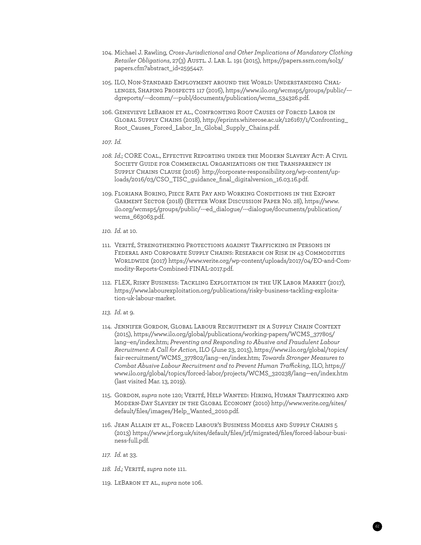- 104. Michael J. Rawling, *Cross-Jurisdictional and Other Implications of Mandatory Clothing Retailer Obligations*, 27(3) Austl. J. Lab. L. 191 (2015), [https://papers.ssrn.com/sol3/](https://papers.ssrn.com/sol3/papers.cfm?abstract_id=2595447) [papers.cfm?abstract\\_id=2595447](https://papers.ssrn.com/sol3/papers.cfm?abstract_id=2595447).
- 105. ILO, Non-Standard Employment around the World: Understanding Challenges, Shaping Prospects 117 (2016), [https://www.ilo.org/wcmsp5/groups/public/--](https://www.ilo.org/wcmsp5/groups/public/---dgreports/---dcomm/---publ/documents/publication/wcms_534326.pdf) [dgreports/---dcomm/---publ/documents/publication/wcms\\_534326.pdf.](https://www.ilo.org/wcmsp5/groups/public/---dgreports/---dcomm/---publ/documents/publication/wcms_534326.pdf)
- 106. Genevieve LeBaron et al., Confronting Root Causes of Forced Labor in Global Supply Chains (2018), [http://eprints.whiterose.ac.uk/126167/1/Confronting\\_](http://eprints.whiterose.ac.uk/126167/1/Confronting_Root_Causes_Forced_Labour_In_Global_Supply_Chains.pdf) [Root\\_Causes\\_Forced\\_Labor\\_In\\_Global\\_Supply\\_Chains.pdf](http://eprints.whiterose.ac.uk/126167/1/Confronting_Root_Causes_Forced_Labour_In_Global_Supply_Chains.pdf).
- *107. Id.*
- *108. Id.*; CORE Coal., Effective Reporting under the Modern Slavery Act: A Civil Society Guide for Commercial Organizations on the Transparency in Supply Chains Clause (2016)[http://corporate-responsibility.org/wp-content/up](http://corporate-responsibility.org/wp-content/uploads/2016/03/CSO_TISC_guidance_final_digitalversion_16.03.16.pdf)[loads/2016/03/CSO\\_TISC\\_guidance\\_final\\_digitalversion\\_16.03.16.pdf](http://corporate-responsibility.org/wp-content/uploads/2016/03/CSO_TISC_guidance_final_digitalversion_16.03.16.pdf).
- 109. Floriana Borino, Piece Rate Pay and Working Conditions in the Export Garment Sector (2018) (Better Work Discussion Paper No. 28), [https://www.](https://www.ilo.org/wcmsp5/groups/public/---ed_dialogue/---dialogue/documents/publication/wcms_663063.pdf) [ilo.org/wcmsp5/groups/public/---ed\\_dialogue/---dialogue/documents/publication/](https://www.ilo.org/wcmsp5/groups/public/---ed_dialogue/---dialogue/documents/publication/wcms_663063.pdf) [wcms\\_663063.pdf.](https://www.ilo.org/wcmsp5/groups/public/---ed_dialogue/---dialogue/documents/publication/wcms_663063.pdf)
- *110. Id.* at 10.
- 111. Verité, Strengthening Protections against Trafficking in Persons in Federal and Corporate Supply Chains: Research on Risk in 43 Commodities Worldwide (2017) [https://www.verite.org/wp-content/uploads/2017/04/EO-and-Com](https://www.verite.org/wp-content/uploads/2017/04/EO-and-Commodity-Reports-Combined-FINAL-2017.pdf)[modity-Reports-Combined-FINAL-2017.pdf.](https://www.verite.org/wp-content/uploads/2017/04/EO-and-Commodity-Reports-Combined-FINAL-2017.pdf)
- 112. FLEX, Risky Business: Tackling Exploitation in the UK Labor Market (2017), https://www.labourexploitation.org/publications/risky-business-tackling-exploitation-uk-labour-market.
- *113. Id*. at 9.
- 114. Jennifer Gordon, Global Labour Recruitment in a Supply Chain Context (2015), [https://www.ilo.org/global/publications/working-papers/WCMS\\_377805/](https://www.ilo.org/global/publications/working-papers/WCMS_377805/lang--en/index.htm) [lang--en/index.htm](https://www.ilo.org/global/publications/working-papers/WCMS_377805/lang--en/index.htm); *Preventing and Responding to Abusive and Fraudulent Labour Recruitment: A Call for Action*, ILO (June 23, 2015), [https://www.ilo.org/global/topics/](https://www.ilo.org/global/topics/fair-recruitment/WCMS_377802/lang--en/index.htm) [fair-recruitment/WCMS\\_377802/lang--en/index.htm;](https://www.ilo.org/global/topics/fair-recruitment/WCMS_377802/lang--en/index.htm) *Towards Stronger Measures to Combat Abusive Labour Recruitment and to Prevent Human Trafficking*, ILO, [https://](https://www.ilo.org/global/topics/forced-labour/projects/WCMS_320238/lang--en/index.htm) [www.ilo.org/global/topics/forced-labor/projects/WCMS\\_320238/lang—en/index.htm](https://www.ilo.org/global/topics/forced-labour/projects/WCMS_320238/lang--en/index.htm) (last visited Mar. 13, 2019).
- 115. Gordon, *supra* note 120; Verité, Help Wanted: Hiring, Human Trafficking and Modern-Day Slavery in the Global Economy (2010) [http://www.verite.org/sites/](http://www.verite.org/sites/default/files/images/Help_Wanted_2010.pdf) [default/files/images/Help\\_Wanted\\_2010.pdf](http://www.verite.org/sites/default/files/images/Help_Wanted_2010.pdf).
- 116. Jean Allain et al., Forced Labour's Business Models and Supply Chains 5 (2013) https://www.jrf.org.uk/sites/default/files/jrf/migrated/files/forced-labour-business-full.pdf.

- *117. Id.* at 33.
- *118. Id.;* Verité, *supra* note 111.
- 119. LeBaron et al., *supra* note 106.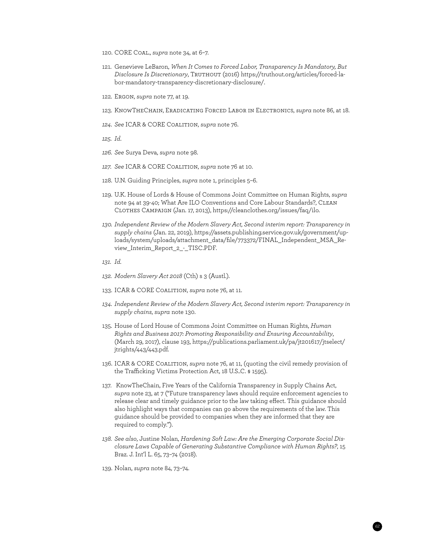- 120. CORE Coal., *supra* note 34, at 6–7.
- 121. Genevieve LeBaron, *When It Comes to Forced Labor, Transparency Is Mandatory, But Disclosure Is Discretionary*, Truthout (2016) [https://truthout.org/articles/forced-la](https://truthout.org/articles/forced-labor-mandatory-transparency-discretionary-disclosure/)[bor-mandatory-transparency-discretionary-disclosure/](https://truthout.org/articles/forced-labor-mandatory-transparency-discretionary-disclosure/).
- 122. Ergon, *supra* note 77, at 19.
- 123. KnowTheChain, Eradicating Forced Labor in Electronics, *supra* note 86, at 18.
- *124. See* ICAR & CORE Coalition, *supra* note 76.
- *125. Id*.
- *126. See* Surya Deva, *supra* note 98.
- *127. See* ICAR & CORE Coalition, *supra* note 76 at 10.
- 128. U.N. Guiding Principles, *supra* note 1, principles 5–6.
- 129. U.K. House of Lords & House of Commons Joint Committee on Human Rights, *supra*  note 94 at 39-40; What Are ILO Conventions and Core Labour Standards?, Clean Clothes Campaign (Jan. 17, 2013), [https://cleanclothes.org/issues/faq/ilo.](https://cleanclothes.org/issues/faq/ilo)
- *130. Independent Review of the Modern Slavery Act, Second interim report: Transparency in supply chains* (Jan. 22, 2019), [https://assets.publishing.service.gov.uk/government/up](https://assets.publishing.service.gov.uk/government/uploads/system/uploads/attachment_data/file/773372/FINAL_Independent_MSA_Review_Interim_Report_2_-_TISC.PDF)[loads/system/uploads/attachment\\_data/file/773372/FINAL\\_Independent\\_MSA\\_Re](https://assets.publishing.service.gov.uk/government/uploads/system/uploads/attachment_data/file/773372/FINAL_Independent_MSA_Review_Interim_Report_2_-_TISC.PDF)[view\\_Interim\\_Report\\_2\\_-\\_TISC.PDF.](https://assets.publishing.service.gov.uk/government/uploads/system/uploads/attachment_data/file/773372/FINAL_Independent_MSA_Review_Interim_Report_2_-_TISC.PDF)
- *131. Id.*
- *132. Modern Slavery Act 2018* (Cth) s 3 (Austl.).
- 133. ICAR & CORE Coalition, *supra* note 76, at 11.
- *134. Independent Review of the Modern Slavery Act, Second interim report: Transparency in supply chains*, *supra* note 130.
- 135. House of Lord House of Commons Joint Committee on Human Rights, *Human Rights and Business 2017: Promoting Responsibility and Ensuring Accountability*, (March 29, 2017), clause 193, [https://publications.parliament.uk/pa/jt201617/jtselect/](https://publications.parliament.uk/pa/jt201617/jtselect/jtrights/443/443.pdf) [jtrights/443/443.pdf](https://publications.parliament.uk/pa/jt201617/jtselect/jtrights/443/443.pdf).
- 136. ICAR & CORE Coalition, *supra* note 76, at 11, (quoting the civil remedy provision of the Trafficking Victims Protection Act, 18 U.S..C. § 1595).
- 137. KnowTheChain, Five Years of the California Transparency in Supply Chains Act, *supra* note 23, at 7 ("Future transparency laws should require enforcement agencies to release clear and timely guidance prior to the law taking effect. This guidance should also highlight ways that companies can go above the requirements of the law. This guidance should be provided to companies when they are informed that they are required to comply.").
- *138. See also*, Justine Nolan, *Hardening Soft Law: Are the Emerging Corporate Social Disclosure Laws Capable of Generating Substantive Compliance with Human Rights?*, 15 Braz. J. Int'l L. 65, 73–74 (2018).
- 139. Nolan, *supra* note 84, 73–74.